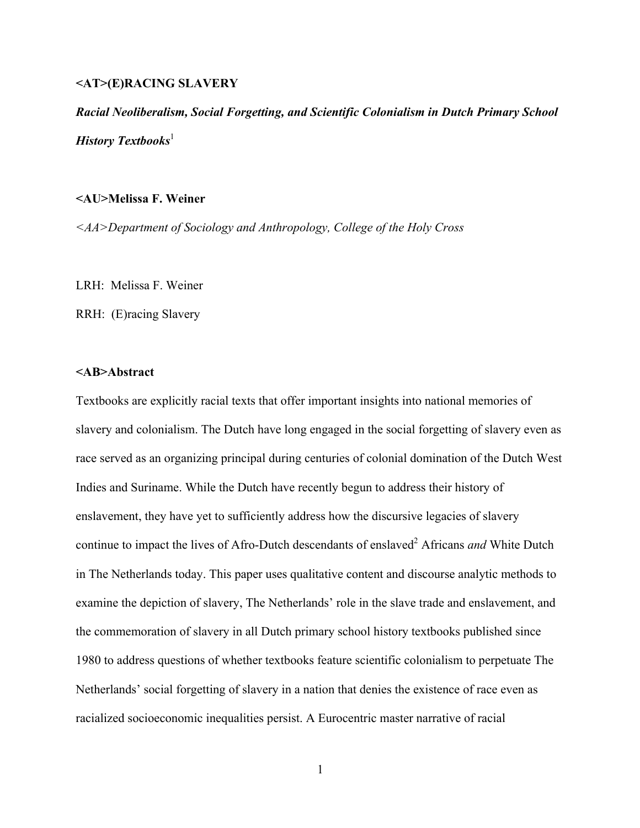# **<AT>(E)RACING SLAVERY**

*Racial Neoliberalism, Social Forgetting, and Scientific Colonialism in Dutch Primary School History Textbooks*<sup>1</sup>

# **<AU>Melissa F. Weiner**

*<AA>Department of Sociology and Anthropology, College of the Holy Cross*

LRH: Melissa F. Weiner

RRH: (E)racing Slavery

# **<AB>Abstract**

Textbooks are explicitly racial texts that offer important insights into national memories of slavery and colonialism. The Dutch have long engaged in the social forgetting of slavery even as race served as an organizing principal during centuries of colonial domination of the Dutch West Indies and Suriname. While the Dutch have recently begun to address their history of enslavement, they have yet to sufficiently address how the discursive legacies of slavery continue to impact the lives of Afro-Dutch descendants of enslaved<sup>2</sup> Africans *and* White Dutch in The Netherlands today. This paper uses qualitative content and discourse analytic methods to examine the depiction of slavery, The Netherlands' role in the slave trade and enslavement, and the commemoration of slavery in all Dutch primary school history textbooks published since 1980 to address questions of whether textbooks feature scientific colonialism to perpetuate The Netherlands' social forgetting of slavery in a nation that denies the existence of race even as racialized socioeconomic inequalities persist. A Eurocentric master narrative of racial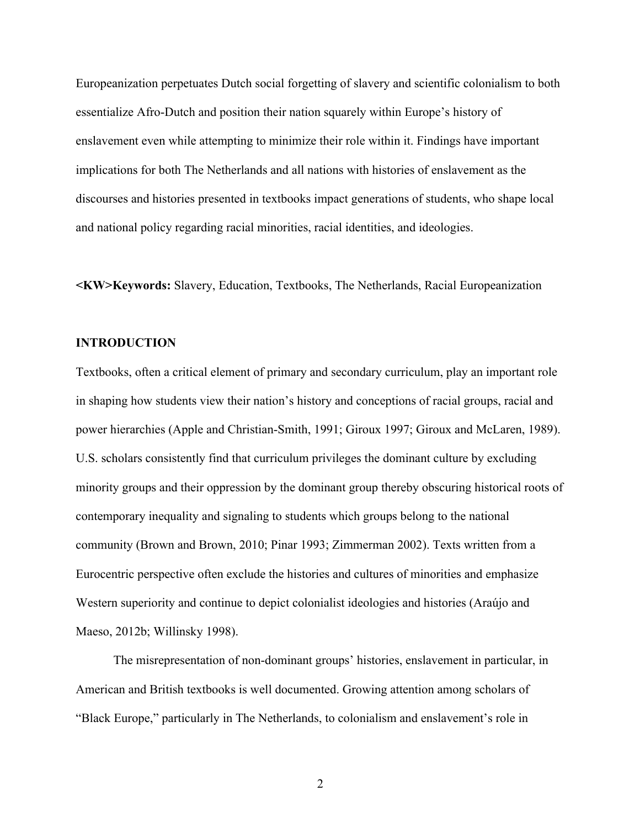Europeanization perpetuates Dutch social forgetting of slavery and scientific colonialism to both essentialize Afro-Dutch and position their nation squarely within Europe's history of enslavement even while attempting to minimize their role within it. Findings have important implications for both The Netherlands and all nations with histories of enslavement as the discourses and histories presented in textbooks impact generations of students, who shape local and national policy regarding racial minorities, racial identities, and ideologies.

**<KW>Keywords:** Slavery, Education, Textbooks, The Netherlands, Racial Europeanization

# **INTRODUCTION**

Textbooks, often a critical element of primary and secondary curriculum, play an important role in shaping how students view their nation's history and conceptions of racial groups, racial and power hierarchies (Apple and Christian-Smith, 1991; Giroux 1997; Giroux and McLaren, 1989). U.S. scholars consistently find that curriculum privileges the dominant culture by excluding minority groups and their oppression by the dominant group thereby obscuring historical roots of contemporary inequality and signaling to students which groups belong to the national community (Brown and Brown, 2010; Pinar 1993; Zimmerman 2002). Texts written from a Eurocentric perspective often exclude the histories and cultures of minorities and emphasize Western superiority and continue to depict colonialist ideologies and histories (Araújo and Maeso, 2012b; Willinsky 1998).

The misrepresentation of non-dominant groups' histories, enslavement in particular, in American and British textbooks is well documented. Growing attention among scholars of "Black Europe," particularly in The Netherlands, to colonialism and enslavement's role in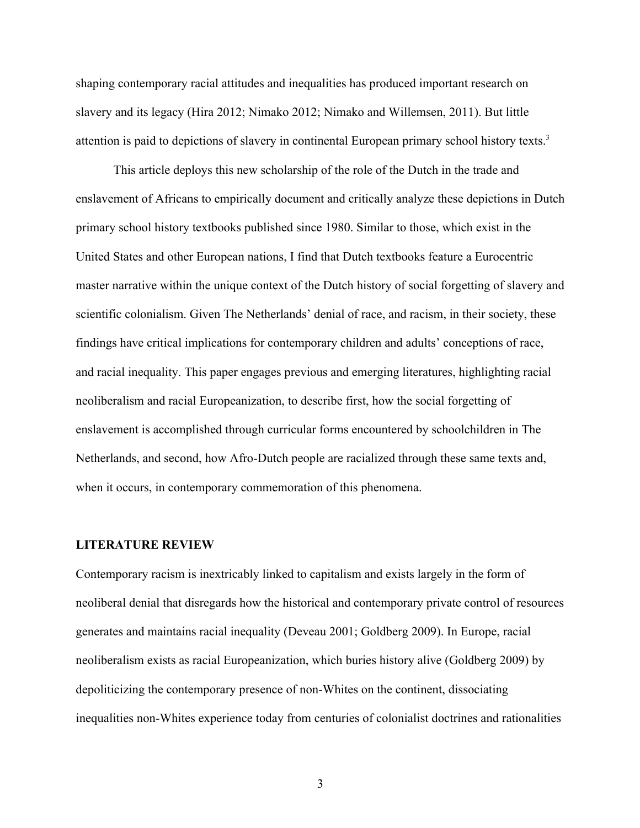shaping contemporary racial attitudes and inequalities has produced important research on slavery and its legacy (Hira 2012; Nimako 2012; Nimako and Willemsen, 2011). But little attention is paid to depictions of slavery in continental European primary school history texts.<sup>3</sup>

This article deploys this new scholarship of the role of the Dutch in the trade and enslavement of Africans to empirically document and critically analyze these depictions in Dutch primary school history textbooks published since 1980. Similar to those, which exist in the United States and other European nations, I find that Dutch textbooks feature a Eurocentric master narrative within the unique context of the Dutch history of social forgetting of slavery and scientific colonialism. Given The Netherlands' denial of race, and racism, in their society, these findings have critical implications for contemporary children and adults' conceptions of race, and racial inequality. This paper engages previous and emerging literatures, highlighting racial neoliberalism and racial Europeanization, to describe first, how the social forgetting of enslavement is accomplished through curricular forms encountered by schoolchildren in The Netherlands, and second, how Afro-Dutch people are racialized through these same texts and, when it occurs, in contemporary commemoration of this phenomena.

#### **LITERATURE REVIEW**

Contemporary racism is inextricably linked to capitalism and exists largely in the form of neoliberal denial that disregards how the historical and contemporary private control of resources generates and maintains racial inequality (Deveau 2001; Goldberg 2009). In Europe, racial neoliberalism exists as racial Europeanization, which buries history alive (Goldberg 2009) by depoliticizing the contemporary presence of non-Whites on the continent, dissociating inequalities non-Whites experience today from centuries of colonialist doctrines and rationalities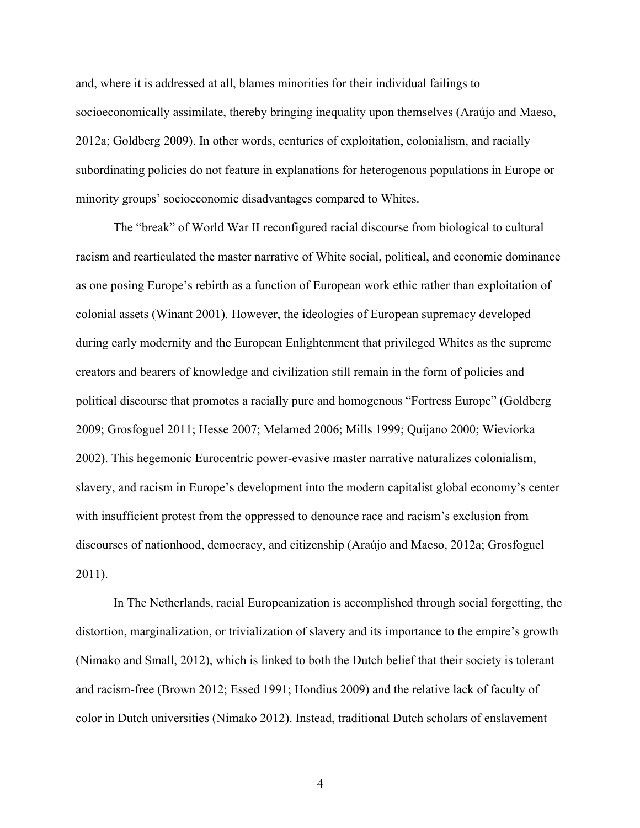and, where it is addressed at all, blames minorities for their individual failings to socioeconomically assimilate, thereby bringing inequality upon themselves (Araújo and Maeso, 2012a; Goldberg 2009). In other words, centuries of exploitation, colonialism, and racially subordinating policies do not feature in explanations for heterogenous populations in Europe or minority groups' socioeconomic disadvantages compared to Whites.

The "break" of World War II reconfigured racial discourse from biological to cultural racism and rearticulated the master narrative of White social, political, and economic dominance as one posing Europe's rebirth as a function of European work ethic rather than exploitation of colonial assets (Winant 2001). However, the ideologies of European supremacy developed during early modernity and the European Enlightenment that privileged Whites as the supreme creators and bearers of knowledge and civilization still remain in the form of policies and political discourse that promotes a racially pure and homogenous "Fortress Europe" (Goldberg 2009; Grosfoguel 2011; Hesse 2007; Melamed 2006; Mills 1999; Quijano 2000; Wieviorka 2002). This hegemonic Eurocentric power-evasive master narrative naturalizes colonialism, slavery, and racism in Europe's development into the modern capitalist global economy's center with insufficient protest from the oppressed to denounce race and racism's exclusion from discourses of nationhood, democracy, and citizenship (Araújo and Maeso, 2012a; Grosfoguel 2011).

In The Netherlands, racial Europeanization is accomplished through social forgetting, the distortion, marginalization, or trivialization of slavery and its importance to the empire's growth (Nimako and Small, 2012), which is linked to both the Dutch belief that their society is tolerant and racism-free (Brown 2012; Essed 1991; Hondius 2009) and the relative lack of faculty of color in Dutch universities (Nimako 2012). Instead, traditional Dutch scholars of enslavement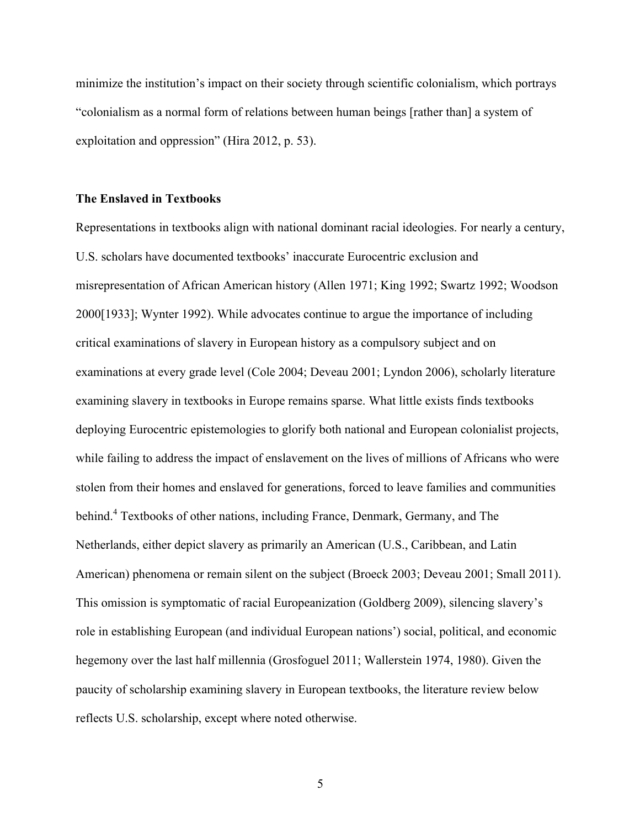minimize the institution's impact on their society through scientific colonialism, which portrays "colonialism as a normal form of relations between human beings [rather than] a system of exploitation and oppression" (Hira 2012, p. 53).

### **The Enslaved in Textbooks**

Representations in textbooks align with national dominant racial ideologies. For nearly a century, U.S. scholars have documented textbooks' inaccurate Eurocentric exclusion and misrepresentation of African American history (Allen 1971; King 1992; Swartz 1992; Woodson 2000[1933]; Wynter 1992). While advocates continue to argue the importance of including critical examinations of slavery in European history as a compulsory subject and on examinations at every grade level (Cole 2004; Deveau 2001; Lyndon 2006), scholarly literature examining slavery in textbooks in Europe remains sparse. What little exists finds textbooks deploying Eurocentric epistemologies to glorify both national and European colonialist projects, while failing to address the impact of enslavement on the lives of millions of Africans who were stolen from their homes and enslaved for generations, forced to leave families and communities behind.<sup>4</sup> Textbooks of other nations, including France, Denmark, Germany, and The Netherlands, either depict slavery as primarily an American (U.S., Caribbean, and Latin American) phenomena or remain silent on the subject (Broeck 2003; Deveau 2001; Small 2011). This omission is symptomatic of racial Europeanization (Goldberg 2009), silencing slavery's role in establishing European (and individual European nations') social, political, and economic hegemony over the last half millennia (Grosfoguel 2011; Wallerstein 1974, 1980). Given the paucity of scholarship examining slavery in European textbooks, the literature review below reflects U.S. scholarship, except where noted otherwise.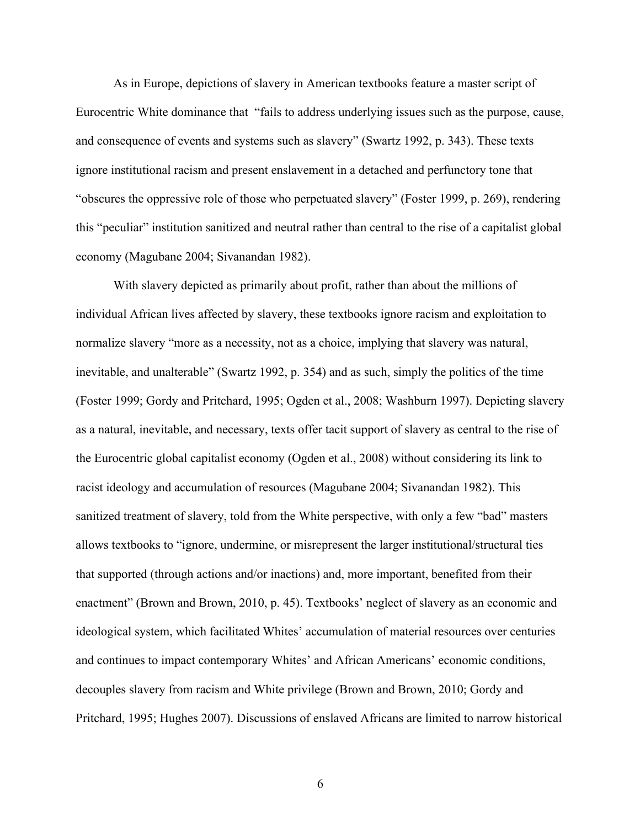As in Europe, depictions of slavery in American textbooks feature a master script of Eurocentric White dominance that "fails to address underlying issues such as the purpose, cause, and consequence of events and systems such as slavery" (Swartz 1992, p. 343). These texts ignore institutional racism and present enslavement in a detached and perfunctory tone that "obscures the oppressive role of those who perpetuated slavery" (Foster 1999, p. 269), rendering this "peculiar" institution sanitized and neutral rather than central to the rise of a capitalist global economy (Magubane 2004; Sivanandan 1982).

With slavery depicted as primarily about profit, rather than about the millions of individual African lives affected by slavery, these textbooks ignore racism and exploitation to normalize slavery "more as a necessity, not as a choice, implying that slavery was natural, inevitable, and unalterable" (Swartz 1992, p. 354) and as such, simply the politics of the time (Foster 1999; Gordy and Pritchard, 1995; Ogden et al., 2008; Washburn 1997). Depicting slavery as a natural, inevitable, and necessary, texts offer tacit support of slavery as central to the rise of the Eurocentric global capitalist economy (Ogden et al., 2008) without considering its link to racist ideology and accumulation of resources (Magubane 2004; Sivanandan 1982). This sanitized treatment of slavery, told from the White perspective, with only a few "bad" masters allows textbooks to "ignore, undermine, or misrepresent the larger institutional/structural ties that supported (through actions and/or inactions) and, more important, benefited from their enactment" (Brown and Brown, 2010, p. 45). Textbooks' neglect of slavery as an economic and ideological system, which facilitated Whites' accumulation of material resources over centuries and continues to impact contemporary Whites' and African Americans' economic conditions, decouples slavery from racism and White privilege (Brown and Brown, 2010; Gordy and Pritchard, 1995; Hughes 2007). Discussions of enslaved Africans are limited to narrow historical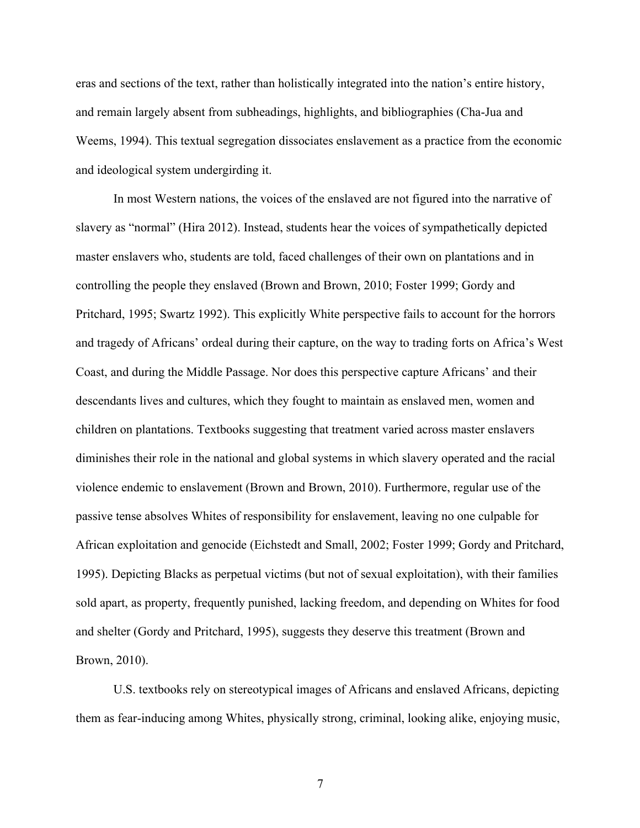eras and sections of the text, rather than holistically integrated into the nation's entire history, and remain largely absent from subheadings, highlights, and bibliographies (Cha-Jua and Weems, 1994). This textual segregation dissociates enslavement as a practice from the economic and ideological system undergirding it.

In most Western nations, the voices of the enslaved are not figured into the narrative of slavery as "normal" (Hira 2012). Instead, students hear the voices of sympathetically depicted master enslavers who, students are told, faced challenges of their own on plantations and in controlling the people they enslaved (Brown and Brown, 2010; Foster 1999; Gordy and Pritchard, 1995; Swartz 1992). This explicitly White perspective fails to account for the horrors and tragedy of Africans' ordeal during their capture, on the way to trading forts on Africa's West Coast, and during the Middle Passage. Nor does this perspective capture Africans' and their descendants lives and cultures, which they fought to maintain as enslaved men, women and children on plantations. Textbooks suggesting that treatment varied across master enslavers diminishes their role in the national and global systems in which slavery operated and the racial violence endemic to enslavement (Brown and Brown, 2010). Furthermore, regular use of the passive tense absolves Whites of responsibility for enslavement, leaving no one culpable for African exploitation and genocide (Eichstedt and Small, 2002; Foster 1999; Gordy and Pritchard, 1995). Depicting Blacks as perpetual victims (but not of sexual exploitation), with their families sold apart, as property, frequently punished, lacking freedom, and depending on Whites for food and shelter (Gordy and Pritchard, 1995), suggests they deserve this treatment (Brown and Brown, 2010).

U.S. textbooks rely on stereotypical images of Africans and enslaved Africans, depicting them as fear-inducing among Whites, physically strong, criminal, looking alike, enjoying music,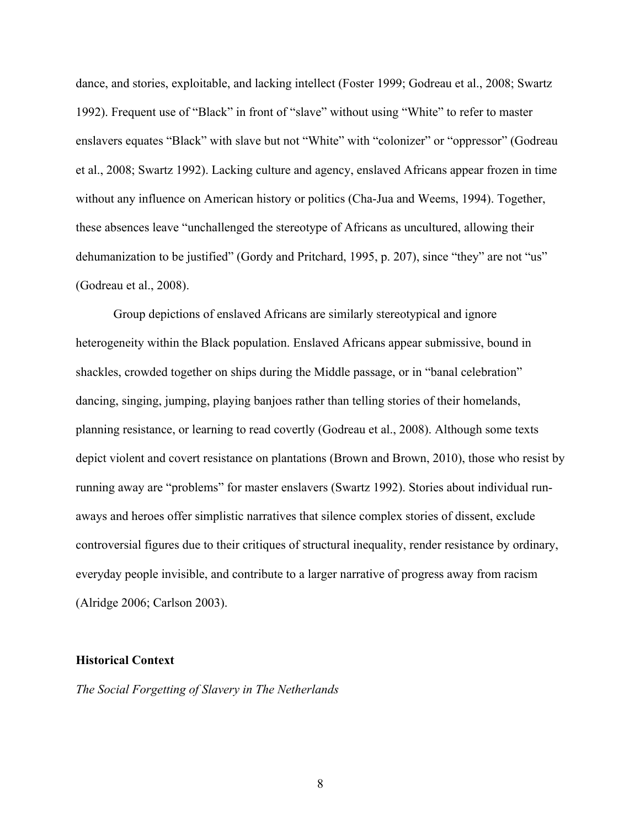dance, and stories, exploitable, and lacking intellect (Foster 1999; Godreau et al., 2008; Swartz 1992). Frequent use of "Black" in front of "slave" without using "White" to refer to master enslavers equates "Black" with slave but not "White" with "colonizer" or "oppressor" (Godreau et al., 2008; Swartz 1992). Lacking culture and agency, enslaved Africans appear frozen in time without any influence on American history or politics (Cha-Jua and Weems, 1994). Together, these absences leave "unchallenged the stereotype of Africans as uncultured, allowing their dehumanization to be justified" (Gordy and Pritchard, 1995, p. 207), since "they" are not "us" (Godreau et al., 2008).

Group depictions of enslaved Africans are similarly stereotypical and ignore heterogeneity within the Black population. Enslaved Africans appear submissive, bound in shackles, crowded together on ships during the Middle passage, or in "banal celebration" dancing, singing, jumping, playing banjoes rather than telling stories of their homelands, planning resistance, or learning to read covertly (Godreau et al., 2008). Although some texts depict violent and covert resistance on plantations (Brown and Brown, 2010), those who resist by running away are "problems" for master enslavers (Swartz 1992). Stories about individual runaways and heroes offer simplistic narratives that silence complex stories of dissent, exclude controversial figures due to their critiques of structural inequality, render resistance by ordinary, everyday people invisible, and contribute to a larger narrative of progress away from racism (Alridge 2006; Carlson 2003).

## **Historical Context**

*The Social Forgetting of Slavery in The Netherlands*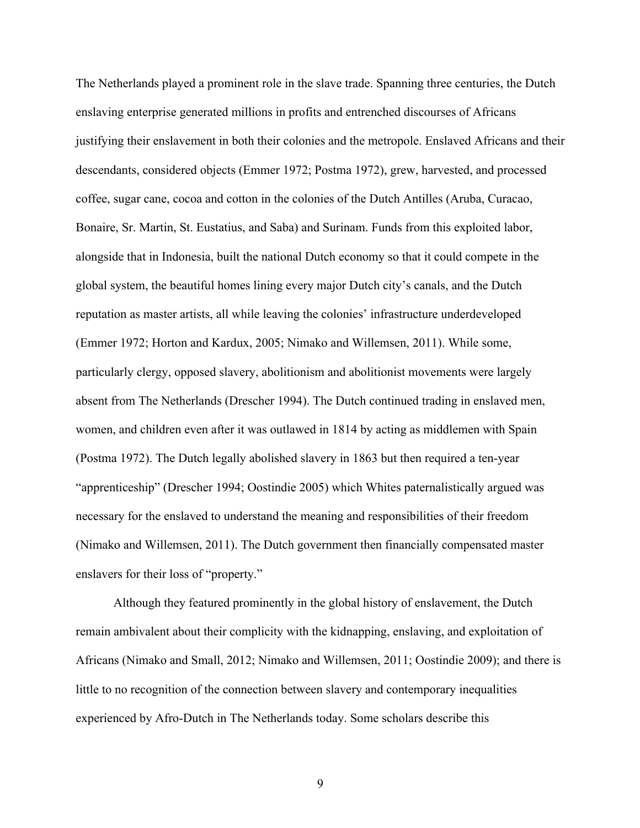The Netherlands played a prominent role in the slave trade. Spanning three centuries, the Dutch enslaving enterprise generated millions in profits and entrenched discourses of Africans justifying their enslavement in both their colonies and the metropole. Enslaved Africans and their descendants, considered objects (Emmer 1972; Postma 1972), grew, harvested, and processed coffee, sugar cane, cocoa and cotton in the colonies of the Dutch Antilles (Aruba, Curacao, Bonaire, Sr. Martin, St. Eustatius, and Saba) and Surinam. Funds from this exploited labor, alongside that in Indonesia, built the national Dutch economy so that it could compete in the global system, the beautiful homes lining every major Dutch city's canals, and the Dutch reputation as master artists, all while leaving the colonies' infrastructure underdeveloped (Emmer 1972; Horton and Kardux, 2005; Nimako and Willemsen, 2011). While some, particularly clergy, opposed slavery, abolitionism and abolitionist movements were largely absent from The Netherlands (Drescher 1994). The Dutch continued trading in enslaved men, women, and children even after it was outlawed in 1814 by acting as middlemen with Spain (Postma 1972). The Dutch legally abolished slavery in 1863 but then required a ten-year "apprenticeship" (Drescher 1994; Oostindie 2005) which Whites paternalistically argued was necessary for the enslaved to understand the meaning and responsibilities of their freedom (Nimako and Willemsen, 2011). The Dutch government then financially compensated master enslavers for their loss of "property."

Although they featured prominently in the global history of enslavement, the Dutch remain ambivalent about their complicity with the kidnapping, enslaving, and exploitation of Africans (Nimako and Small, 2012; Nimako and Willemsen, 2011; Oostindie 2009); and there is little to no recognition of the connection between slavery and contemporary inequalities experienced by Afro-Dutch in The Netherlands today. Some scholars describe this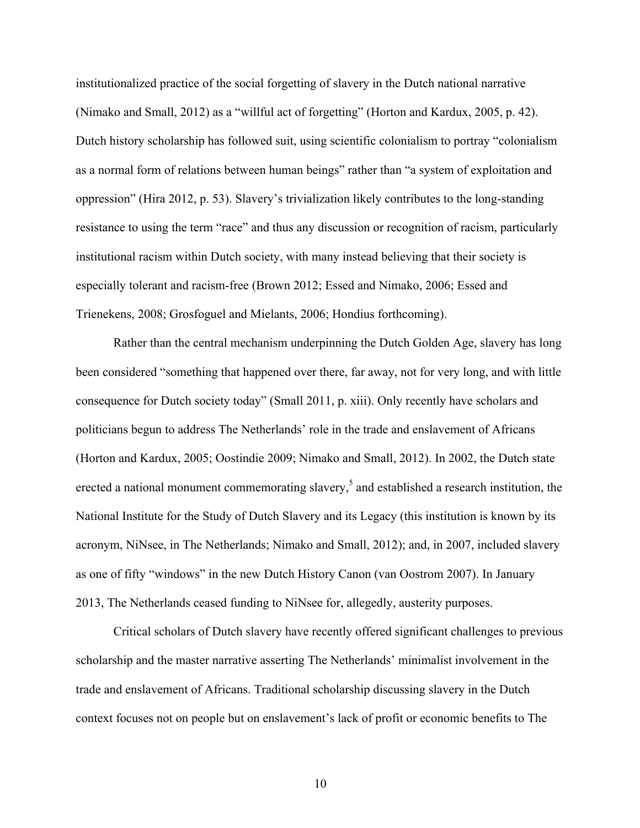institutionalized practice of the social forgetting of slavery in the Dutch national narrative (Nimako and Small, 2012) as a "willful act of forgetting" (Horton and Kardux, 2005, p. 42). Dutch history scholarship has followed suit, using scientific colonialism to portray "colonialism as a normal form of relations between human beings" rather than "a system of exploitation and oppression" (Hira 2012, p. 53). Slavery's trivialization likely contributes to the long-standing resistance to using the term "race" and thus any discussion or recognition of racism, particularly institutional racism within Dutch society, with many instead believing that their society is especially tolerant and racism-free (Brown 2012; Essed and Nimako, 2006; Essed and Trienekens, 2008; Grosfoguel and Mielants, 2006; Hondius forthcoming).

Rather than the central mechanism underpinning the Dutch Golden Age, slavery has long been considered "something that happened over there, far away, not for very long, and with little consequence for Dutch society today" (Small 2011, p. xiii). Only recently have scholars and politicians begun to address The Netherlands' role in the trade and enslavement of Africans (Horton and Kardux, 2005; Oostindie 2009; Nimako and Small, 2012). In 2002, the Dutch state erected a national monument commemorating slavery,<sup>5</sup> and established a research institution, the National Institute for the Study of Dutch Slavery and its Legacy (this institution is known by its acronym, NiNsee, in The Netherlands; Nimako and Small, 2012); and, in 2007, included slavery as one of fifty "windows" in the new Dutch History Canon (van Oostrom 2007). In January 2013, The Netherlands ceased funding to NiNsee for, allegedly, austerity purposes.

Critical scholars of Dutch slavery have recently offered significant challenges to previous scholarship and the master narrative asserting The Netherlands' minimalist involvement in the trade and enslavement of Africans. Traditional scholarship discussing slavery in the Dutch context focuses not on people but on enslavement's lack of profit or economic benefits to The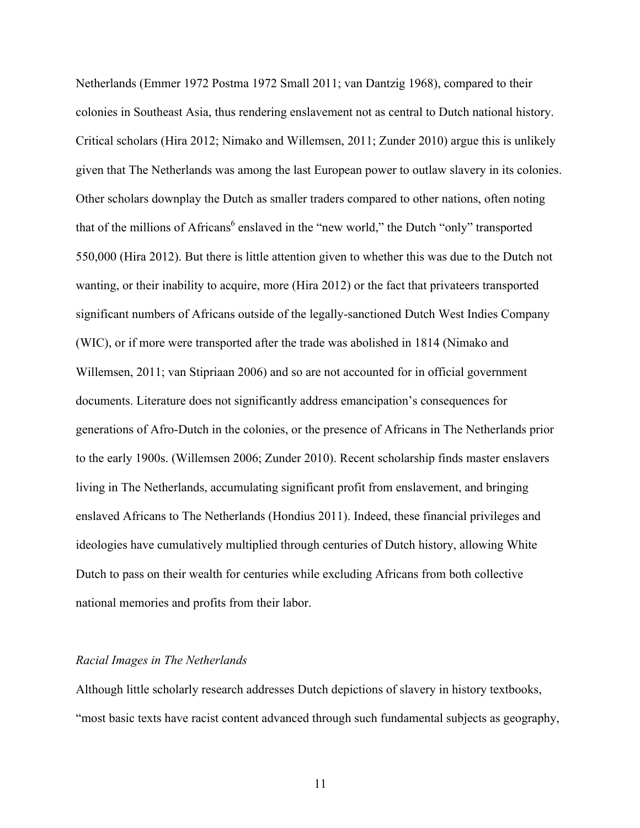Netherlands (Emmer 1972 Postma 1972 Small 2011; van Dantzig 1968), compared to their colonies in Southeast Asia, thus rendering enslavement not as central to Dutch national history. Critical scholars (Hira 2012; Nimako and Willemsen, 2011; Zunder 2010) argue this is unlikely given that The Netherlands was among the last European power to outlaw slavery in its colonies. Other scholars downplay the Dutch as smaller traders compared to other nations, often noting that of the millions of Africans<sup>6</sup> enslaved in the "new world," the Dutch "only" transported 550,000 (Hira 2012). But there is little attention given to whether this was due to the Dutch not wanting, or their inability to acquire, more (Hira 2012) or the fact that privateers transported significant numbers of Africans outside of the legally-sanctioned Dutch West Indies Company (WIC), or if more were transported after the trade was abolished in 1814 (Nimako and Willemsen, 2011; van Stipriaan 2006) and so are not accounted for in official government documents. Literature does not significantly address emancipation's consequences for generations of Afro-Dutch in the colonies, or the presence of Africans in The Netherlands prior to the early 1900s. (Willemsen 2006; Zunder 2010). Recent scholarship finds master enslavers living in The Netherlands, accumulating significant profit from enslavement, and bringing enslaved Africans to The Netherlands (Hondius 2011). Indeed, these financial privileges and ideologies have cumulatively multiplied through centuries of Dutch history, allowing White Dutch to pass on their wealth for centuries while excluding Africans from both collective national memories and profits from their labor.

## *Racial Images in The Netherlands*

Although little scholarly research addresses Dutch depictions of slavery in history textbooks, "most basic texts have racist content advanced through such fundamental subjects as geography,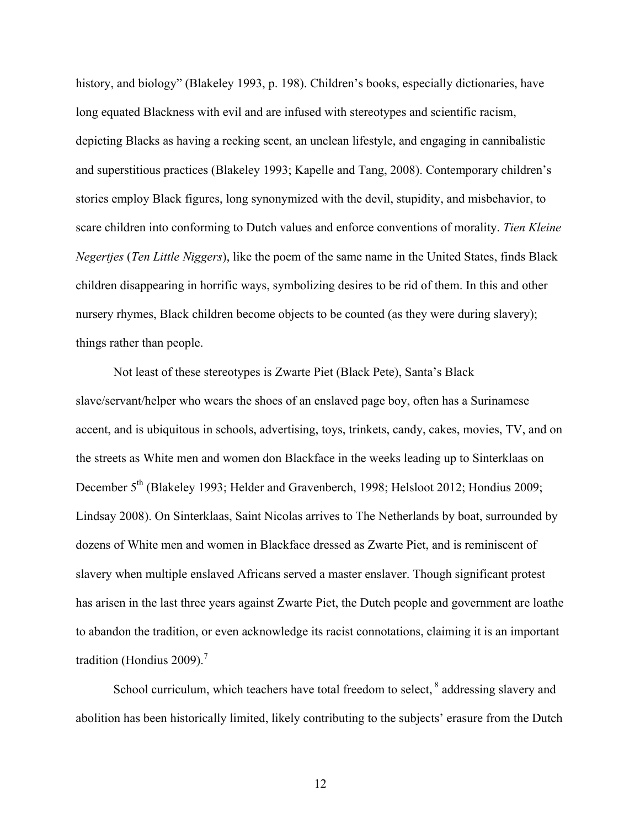history, and biology" (Blakeley 1993, p. 198). Children's books, especially dictionaries, have long equated Blackness with evil and are infused with stereotypes and scientific racism, depicting Blacks as having a reeking scent, an unclean lifestyle, and engaging in cannibalistic and superstitious practices (Blakeley 1993; Kapelle and Tang, 2008). Contemporary children's stories employ Black figures, long synonymized with the devil, stupidity, and misbehavior, to scare children into conforming to Dutch values and enforce conventions of morality. *Tien Kleine Negertjes* (*Ten Little Niggers*), like the poem of the same name in the United States, finds Black children disappearing in horrific ways, symbolizing desires to be rid of them. In this and other nursery rhymes, Black children become objects to be counted (as they were during slavery); things rather than people.

Not least of these stereotypes is Zwarte Piet (Black Pete), Santa's Black slave/servant/helper who wears the shoes of an enslaved page boy, often has a Surinamese accent, and is ubiquitous in schools, advertising, toys, trinkets, candy, cakes, movies, TV, and on the streets as White men and women don Blackface in the weeks leading up to Sinterklaas on December 5<sup>th</sup> (Blakeley 1993; Helder and Gravenberch, 1998; Helsloot 2012; Hondius 2009; Lindsay 2008). On Sinterklaas, Saint Nicolas arrives to The Netherlands by boat, surrounded by dozens of White men and women in Blackface dressed as Zwarte Piet, and is reminiscent of slavery when multiple enslaved Africans served a master enslaver. Though significant protest has arisen in the last three years against Zwarte Piet, the Dutch people and government are loathe to abandon the tradition, or even acknowledge its racist connotations, claiming it is an important tradition (Hondius 2009).<sup>7</sup>

School curriculum, which teachers have total freedom to select, <sup>8</sup> addressing slavery and abolition has been historically limited, likely contributing to the subjects' erasure from the Dutch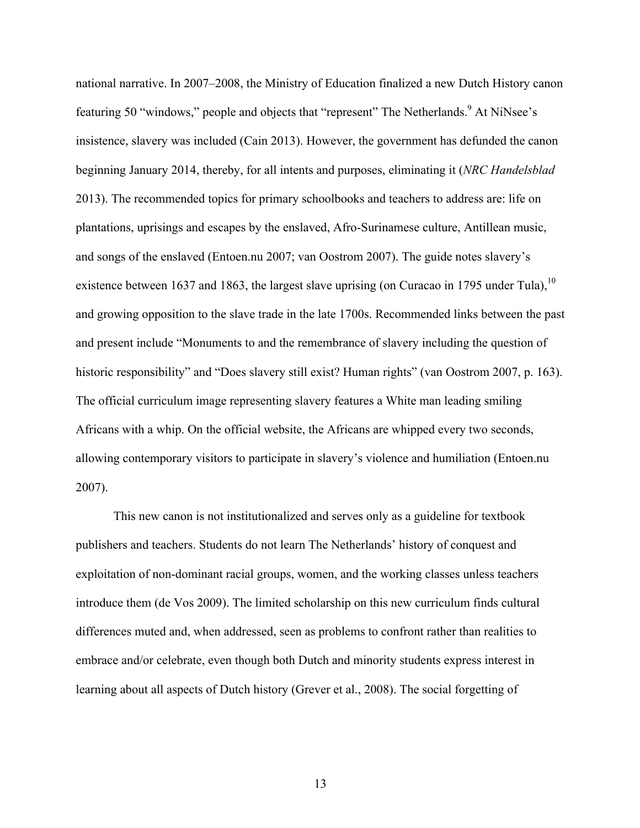national narrative. In 2007–2008, the Ministry of Education finalized a new Dutch History canon featuring 50 "windows," people and objects that "represent" The Netherlands. At NiNsee's insistence, slavery was included (Cain 2013). However, the government has defunded the canon beginning January 2014, thereby, for all intents and purposes, eliminating it (*NRC Handelsblad* 2013). The recommended topics for primary schoolbooks and teachers to address are: life on plantations, uprisings and escapes by the enslaved, Afro-Surinamese culture, Antillean music, and songs of the enslaved (Entoen.nu 2007; van Oostrom 2007). The guide notes slavery's existence between 1637 and 1863, the largest slave uprising (on Curacao in 1795 under Tula),  $^{10}$ and growing opposition to the slave trade in the late 1700s. Recommended links between the past and present include "Monuments to and the remembrance of slavery including the question of historic responsibility" and "Does slavery still exist? Human rights" (van Oostrom 2007, p. 163). The official curriculum image representing slavery features a White man leading smiling Africans with a whip. On the official website, the Africans are whipped every two seconds, allowing contemporary visitors to participate in slavery's violence and humiliation (Entoen.nu 2007).

This new canon is not institutionalized and serves only as a guideline for textbook publishers and teachers. Students do not learn The Netherlands' history of conquest and exploitation of non-dominant racial groups, women, and the working classes unless teachers introduce them (de Vos 2009). The limited scholarship on this new curriculum finds cultural differences muted and, when addressed, seen as problems to confront rather than realities to embrace and/or celebrate, even though both Dutch and minority students express interest in learning about all aspects of Dutch history (Grever et al., 2008). The social forgetting of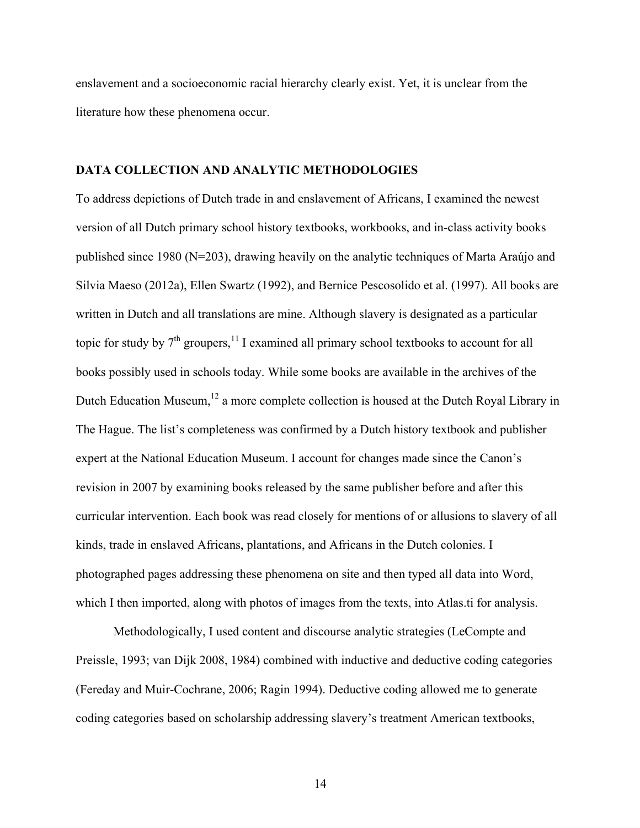enslavement and a socioeconomic racial hierarchy clearly exist. Yet, it is unclear from the literature how these phenomena occur.

## **DATA COLLECTION AND ANALYTIC METHODOLOGIES**

To address depictions of Dutch trade in and enslavement of Africans, I examined the newest version of all Dutch primary school history textbooks, workbooks, and in-class activity books published since 1980 (N=203), drawing heavily on the analytic techniques of Marta Araújo and Silvia Maeso (2012a), Ellen Swartz (1992), and Bernice Pescosolido et al. (1997). All books are written in Dutch and all translations are mine. Although slavery is designated as a particular topic for study by  $7<sup>th</sup>$  groupers,  $<sup>11</sup>$  I examined all primary school textbooks to account for all</sup> books possibly used in schools today. While some books are available in the archives of the Dutch Education Museum, $12$  a more complete collection is housed at the Dutch Royal Library in The Hague. The list's completeness was confirmed by a Dutch history textbook and publisher expert at the National Education Museum. I account for changes made since the Canon's revision in 2007 by examining books released by the same publisher before and after this curricular intervention. Each book was read closely for mentions of or allusions to slavery of all kinds, trade in enslaved Africans, plantations, and Africans in the Dutch colonies. I photographed pages addressing these phenomena on site and then typed all data into Word, which I then imported, along with photos of images from the texts, into Atlas.ti for analysis.

Methodologically, I used content and discourse analytic strategies (LeCompte and Preissle, 1993; van Dijk 2008, 1984) combined with inductive and deductive coding categories (Fereday and Muir-Cochrane, 2006; Ragin 1994). Deductive coding allowed me to generate coding categories based on scholarship addressing slavery's treatment American textbooks,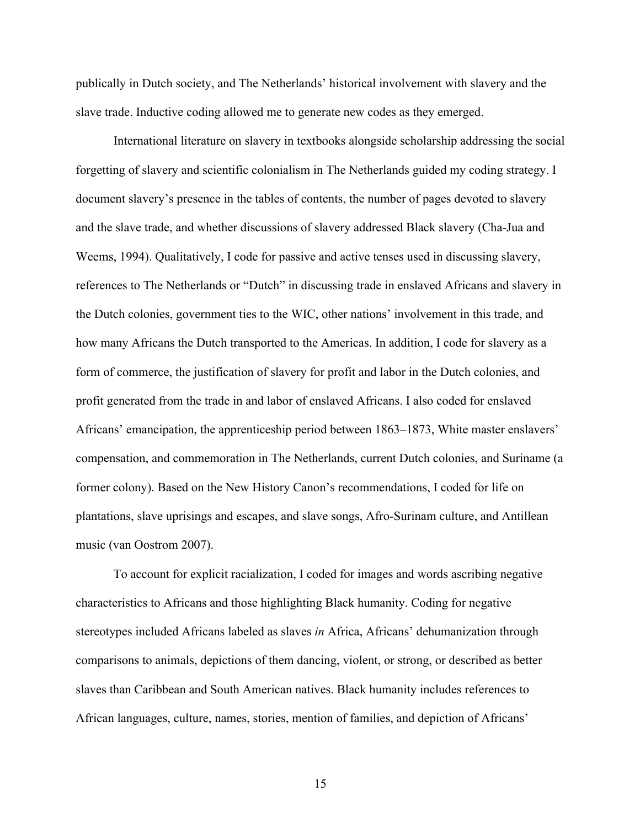publically in Dutch society, and The Netherlands' historical involvement with slavery and the slave trade. Inductive coding allowed me to generate new codes as they emerged.

International literature on slavery in textbooks alongside scholarship addressing the social forgetting of slavery and scientific colonialism in The Netherlands guided my coding strategy. I document slavery's presence in the tables of contents, the number of pages devoted to slavery and the slave trade, and whether discussions of slavery addressed Black slavery (Cha-Jua and Weems, 1994). Qualitatively, I code for passive and active tenses used in discussing slavery, references to The Netherlands or "Dutch" in discussing trade in enslaved Africans and slavery in the Dutch colonies, government ties to the WIC, other nations' involvement in this trade, and how many Africans the Dutch transported to the Americas. In addition, I code for slavery as a form of commerce, the justification of slavery for profit and labor in the Dutch colonies, and profit generated from the trade in and labor of enslaved Africans. I also coded for enslaved Africans' emancipation, the apprenticeship period between 1863–1873, White master enslavers' compensation, and commemoration in The Netherlands, current Dutch colonies, and Suriname (a former colony). Based on the New History Canon's recommendations, I coded for life on plantations, slave uprisings and escapes, and slave songs, Afro-Surinam culture, and Antillean music (van Oostrom 2007).

To account for explicit racialization, I coded for images and words ascribing negative characteristics to Africans and those highlighting Black humanity. Coding for negative stereotypes included Africans labeled as slaves *in* Africa, Africans' dehumanization through comparisons to animals, depictions of them dancing, violent, or strong, or described as better slaves than Caribbean and South American natives. Black humanity includes references to African languages, culture, names, stories, mention of families, and depiction of Africans'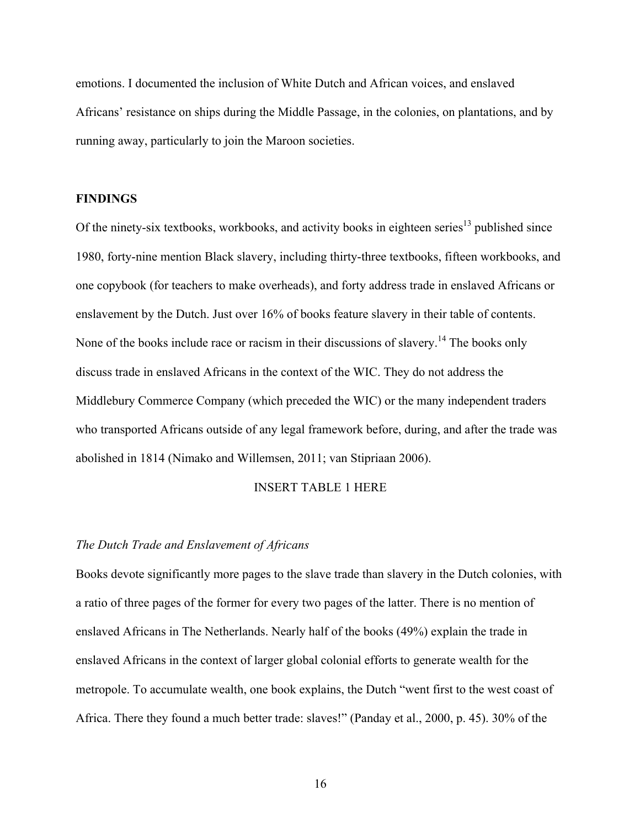emotions. I documented the inclusion of White Dutch and African voices, and enslaved Africans' resistance on ships during the Middle Passage, in the colonies, on plantations, and by running away, particularly to join the Maroon societies.

## **FINDINGS**

Of the ninety-six textbooks, workbooks, and activity books in eighteen series<sup>13</sup> published since 1980, forty-nine mention Black slavery, including thirty-three textbooks, fifteen workbooks, and one copybook (for teachers to make overheads), and forty address trade in enslaved Africans or enslavement by the Dutch. Just over 16% of books feature slavery in their table of contents. None of the books include race or racism in their discussions of slavery.<sup>14</sup> The books only discuss trade in enslaved Africans in the context of the WIC. They do not address the Middlebury Commerce Company (which preceded the WIC) or the many independent traders who transported Africans outside of any legal framework before, during, and after the trade was abolished in 1814 (Nimako and Willemsen, 2011; van Stipriaan 2006).

# INSERT TABLE 1 HERE

## *The Dutch Trade and Enslavement of Africans*

Books devote significantly more pages to the slave trade than slavery in the Dutch colonies, with a ratio of three pages of the former for every two pages of the latter. There is no mention of enslaved Africans in The Netherlands. Nearly half of the books (49%) explain the trade in enslaved Africans in the context of larger global colonial efforts to generate wealth for the metropole. To accumulate wealth, one book explains, the Dutch "went first to the west coast of Africa. There they found a much better trade: slaves!" (Panday et al., 2000, p. 45). 30% of the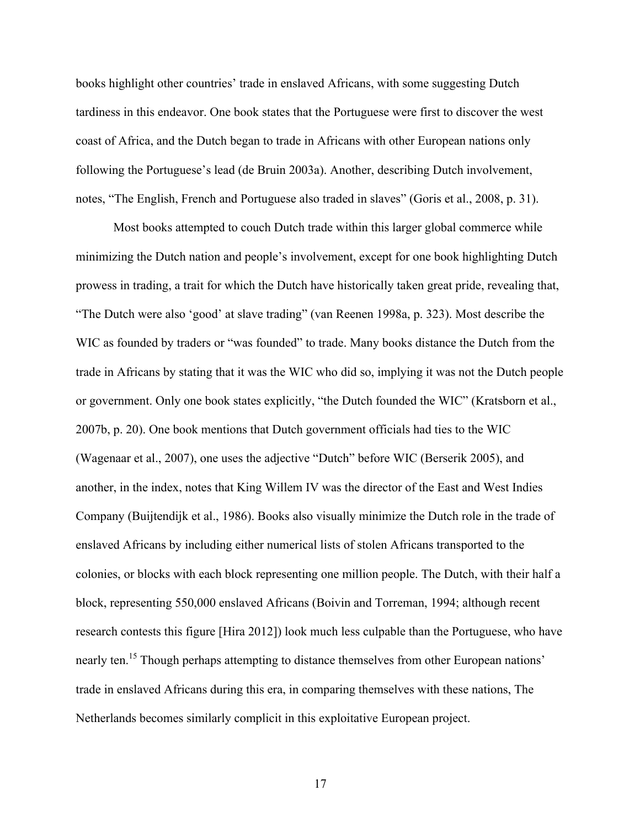books highlight other countries' trade in enslaved Africans, with some suggesting Dutch tardiness in this endeavor. One book states that the Portuguese were first to discover the west coast of Africa, and the Dutch began to trade in Africans with other European nations only following the Portuguese's lead (de Bruin 2003a). Another, describing Dutch involvement, notes, "The English, French and Portuguese also traded in slaves" (Goris et al., 2008, p. 31).

Most books attempted to couch Dutch trade within this larger global commerce while minimizing the Dutch nation and people's involvement, except for one book highlighting Dutch prowess in trading, a trait for which the Dutch have historically taken great pride, revealing that, "The Dutch were also 'good' at slave trading" (van Reenen 1998a, p. 323). Most describe the WIC as founded by traders or "was founded" to trade. Many books distance the Dutch from the trade in Africans by stating that it was the WIC who did so, implying it was not the Dutch people or government. Only one book states explicitly, "the Dutch founded the WIC" (Kratsborn et al., 2007b, p. 20). One book mentions that Dutch government officials had ties to the WIC (Wagenaar et al., 2007), one uses the adjective "Dutch" before WIC (Berserik 2005), and another, in the index, notes that King Willem IV was the director of the East and West Indies Company (Buijtendijk et al., 1986). Books also visually minimize the Dutch role in the trade of enslaved Africans by including either numerical lists of stolen Africans transported to the colonies, or blocks with each block representing one million people. The Dutch, with their half a block, representing 550,000 enslaved Africans (Boivin and Torreman, 1994; although recent research contests this figure [Hira 2012]) look much less culpable than the Portuguese, who have nearly ten.<sup>15</sup> Though perhaps attempting to distance themselves from other European nations' trade in enslaved Africans during this era, in comparing themselves with these nations, The Netherlands becomes similarly complicit in this exploitative European project.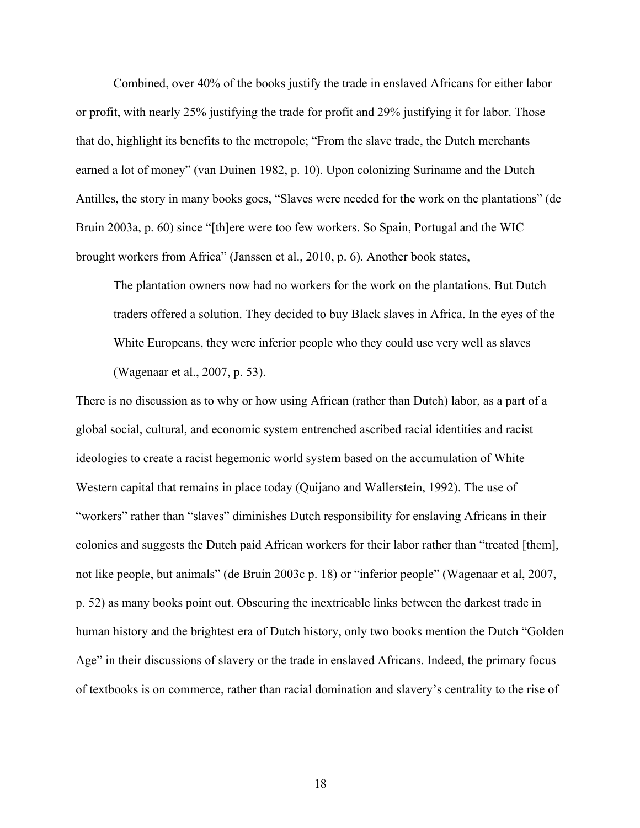Combined, over 40% of the books justify the trade in enslaved Africans for either labor or profit, with nearly 25% justifying the trade for profit and 29% justifying it for labor. Those that do, highlight its benefits to the metropole; "From the slave trade, the Dutch merchants earned a lot of money" (van Duinen 1982, p. 10). Upon colonizing Suriname and the Dutch Antilles, the story in many books goes, "Slaves were needed for the work on the plantations" (de Bruin 2003a, p. 60) since "[th]ere were too few workers. So Spain, Portugal and the WIC brought workers from Africa" (Janssen et al., 2010, p. 6). Another book states,

The plantation owners now had no workers for the work on the plantations. But Dutch traders offered a solution. They decided to buy Black slaves in Africa. In the eyes of the White Europeans, they were inferior people who they could use very well as slaves (Wagenaar et al., 2007, p. 53).

There is no discussion as to why or how using African (rather than Dutch) labor, as a part of a global social, cultural, and economic system entrenched ascribed racial identities and racist ideologies to create a racist hegemonic world system based on the accumulation of White Western capital that remains in place today (Quijano and Wallerstein, 1992). The use of "workers" rather than "slaves" diminishes Dutch responsibility for enslaving Africans in their colonies and suggests the Dutch paid African workers for their labor rather than "treated [them], not like people, but animals" (de Bruin 2003c p. 18) or "inferior people" (Wagenaar et al, 2007, p. 52) as many books point out. Obscuring the inextricable links between the darkest trade in human history and the brightest era of Dutch history, only two books mention the Dutch "Golden Age" in their discussions of slavery or the trade in enslaved Africans. Indeed, the primary focus of textbooks is on commerce, rather than racial domination and slavery's centrality to the rise of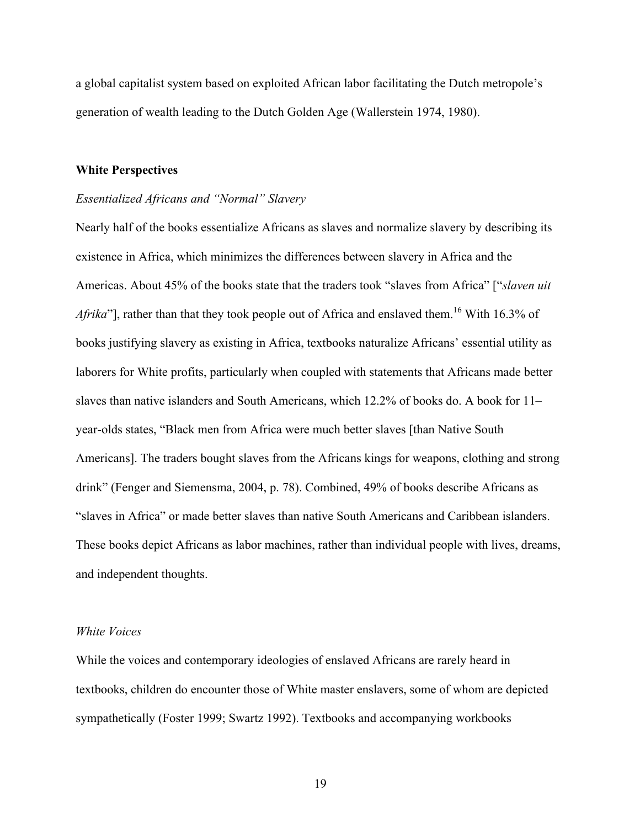a global capitalist system based on exploited African labor facilitating the Dutch metropole's generation of wealth leading to the Dutch Golden Age (Wallerstein 1974, 1980).

### **White Perspectives**

#### *Essentialized Africans and "Normal" Slavery*

Nearly half of the books essentialize Africans as slaves and normalize slavery by describing its existence in Africa, which minimizes the differences between slavery in Africa and the Americas. About 45% of the books state that the traders took "slaves from Africa" ["*slaven uit Afrika*"], rather than that they took people out of Africa and enslaved them.<sup>16</sup> With 16.3% of books justifying slavery as existing in Africa, textbooks naturalize Africans' essential utility as laborers for White profits, particularly when coupled with statements that Africans made better slaves than native islanders and South Americans, which 12.2% of books do. A book for 11– year-olds states, "Black men from Africa were much better slaves [than Native South Americans]. The traders bought slaves from the Africans kings for weapons, clothing and strong drink" (Fenger and Siemensma, 2004, p. 78). Combined, 49% of books describe Africans as "slaves in Africa" or made better slaves than native South Americans and Caribbean islanders. These books depict Africans as labor machines, rather than individual people with lives, dreams, and independent thoughts.

# *White Voices*

While the voices and contemporary ideologies of enslaved Africans are rarely heard in textbooks, children do encounter those of White master enslavers, some of whom are depicted sympathetically (Foster 1999; Swartz 1992). Textbooks and accompanying workbooks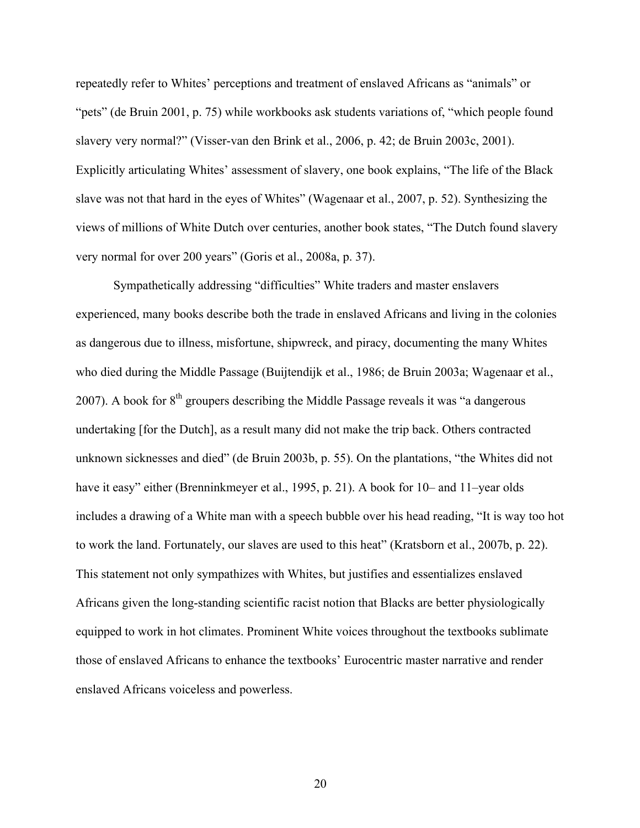repeatedly refer to Whites' perceptions and treatment of enslaved Africans as "animals" or "pets" (de Bruin 2001, p. 75) while workbooks ask students variations of, "which people found slavery very normal?" (Visser-van den Brink et al., 2006, p. 42; de Bruin 2003c, 2001). Explicitly articulating Whites' assessment of slavery, one book explains, "The life of the Black slave was not that hard in the eyes of Whites" (Wagenaar et al., 2007, p. 52). Synthesizing the views of millions of White Dutch over centuries, another book states, "The Dutch found slavery very normal for over 200 years" (Goris et al., 2008a, p. 37).

Sympathetically addressing "difficulties" White traders and master enslavers experienced, many books describe both the trade in enslaved Africans and living in the colonies as dangerous due to illness, misfortune, shipwreck, and piracy, documenting the many Whites who died during the Middle Passage (Buijtendijk et al., 1986; de Bruin 2003a; Wagenaar et al., 2007). A book for  $8<sup>th</sup>$  groupers describing the Middle Passage reveals it was "a dangerous" undertaking [for the Dutch], as a result many did not make the trip back. Others contracted unknown sicknesses and died" (de Bruin 2003b, p. 55). On the plantations, "the Whites did not have it easy" either (Brenninkmeyer et al., 1995, p. 21). A book for 10– and 11–year olds includes a drawing of a White man with a speech bubble over his head reading, "It is way too hot to work the land. Fortunately, our slaves are used to this heat" (Kratsborn et al., 2007b, p. 22). This statement not only sympathizes with Whites, but justifies and essentializes enslaved Africans given the long-standing scientific racist notion that Blacks are better physiologically equipped to work in hot climates. Prominent White voices throughout the textbooks sublimate those of enslaved Africans to enhance the textbooks' Eurocentric master narrative and render enslaved Africans voiceless and powerless.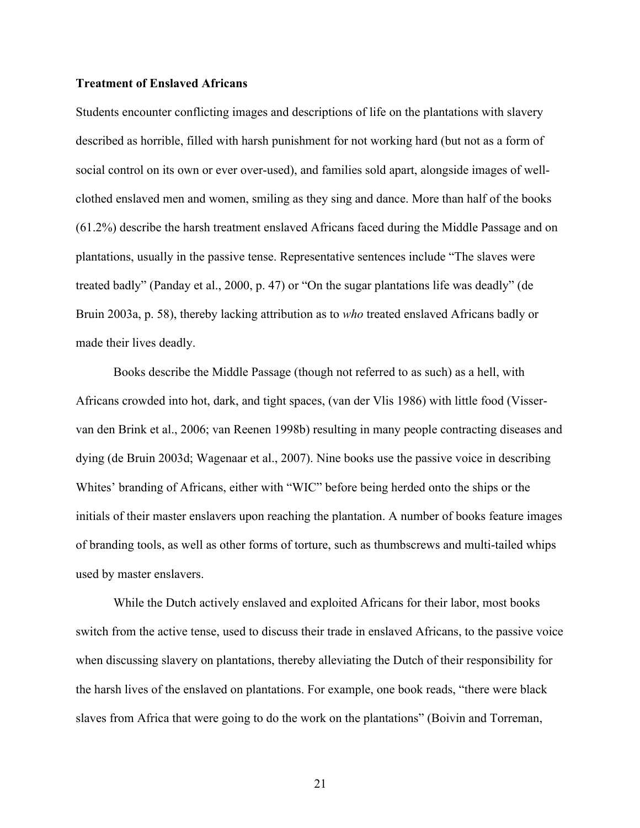# **Treatment of Enslaved Africans**

Students encounter conflicting images and descriptions of life on the plantations with slavery described as horrible, filled with harsh punishment for not working hard (but not as a form of social control on its own or ever over-used), and families sold apart, alongside images of wellclothed enslaved men and women, smiling as they sing and dance. More than half of the books (61.2%) describe the harsh treatment enslaved Africans faced during the Middle Passage and on plantations, usually in the passive tense. Representative sentences include "The slaves were treated badly" (Panday et al., 2000, p. 47) or "On the sugar plantations life was deadly" (de Bruin 2003a, p. 58), thereby lacking attribution as to *who* treated enslaved Africans badly or made their lives deadly.

Books describe the Middle Passage (though not referred to as such) as a hell, with Africans crowded into hot, dark, and tight spaces, (van der Vlis 1986) with little food (Visservan den Brink et al., 2006; van Reenen 1998b) resulting in many people contracting diseases and dying (de Bruin 2003d; Wagenaar et al., 2007). Nine books use the passive voice in describing Whites' branding of Africans, either with "WIC" before being herded onto the ships or the initials of their master enslavers upon reaching the plantation. A number of books feature images of branding tools, as well as other forms of torture, such as thumbscrews and multi-tailed whips used by master enslavers.

While the Dutch actively enslaved and exploited Africans for their labor, most books switch from the active tense, used to discuss their trade in enslaved Africans, to the passive voice when discussing slavery on plantations, thereby alleviating the Dutch of their responsibility for the harsh lives of the enslaved on plantations. For example, one book reads, "there were black slaves from Africa that were going to do the work on the plantations" (Boivin and Torreman,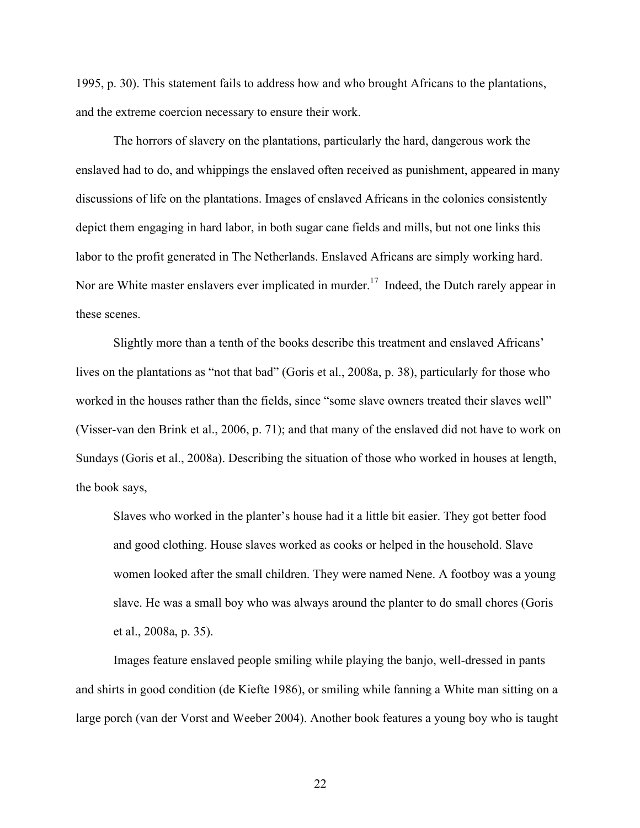1995, p. 30). This statement fails to address how and who brought Africans to the plantations, and the extreme coercion necessary to ensure their work.

The horrors of slavery on the plantations, particularly the hard, dangerous work the enslaved had to do, and whippings the enslaved often received as punishment, appeared in many discussions of life on the plantations. Images of enslaved Africans in the colonies consistently depict them engaging in hard labor, in both sugar cane fields and mills, but not one links this labor to the profit generated in The Netherlands. Enslaved Africans are simply working hard. Nor are White master enslavers ever implicated in murder.<sup>17</sup> Indeed, the Dutch rarely appear in these scenes.

Slightly more than a tenth of the books describe this treatment and enslaved Africans' lives on the plantations as "not that bad" (Goris et al., 2008a, p. 38), particularly for those who worked in the houses rather than the fields, since "some slave owners treated their slaves well" (Visser-van den Brink et al., 2006, p. 71); and that many of the enslaved did not have to work on Sundays (Goris et al., 2008a). Describing the situation of those who worked in houses at length, the book says,

Slaves who worked in the planter's house had it a little bit easier. They got better food and good clothing. House slaves worked as cooks or helped in the household. Slave women looked after the small children. They were named Nene. A footboy was a young slave. He was a small boy who was always around the planter to do small chores (Goris et al., 2008a, p. 35).

Images feature enslaved people smiling while playing the banjo, well-dressed in pants and shirts in good condition (de Kiefte 1986), or smiling while fanning a White man sitting on a large porch (van der Vorst and Weeber 2004). Another book features a young boy who is taught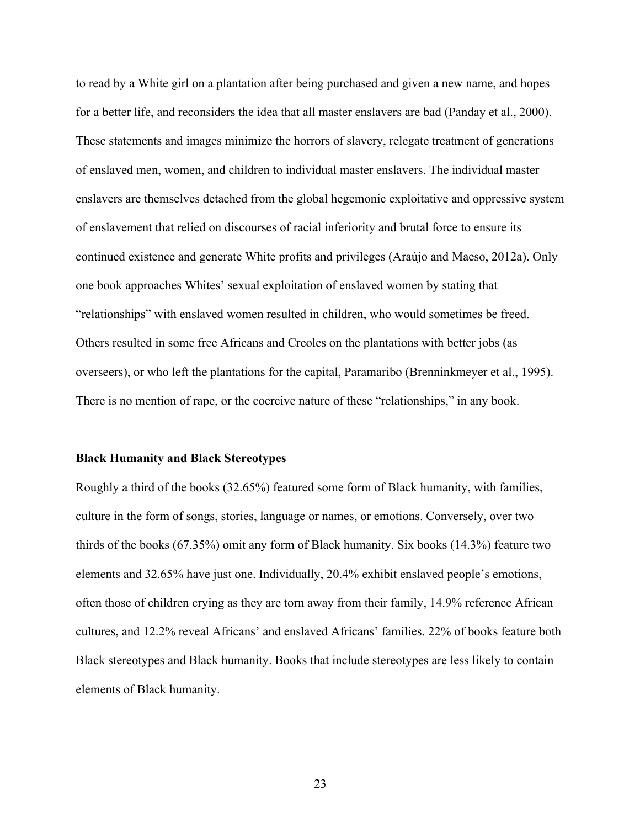to read by a White girl on a plantation after being purchased and given a new name, and hopes for a better life, and reconsiders the idea that all master enslavers are bad (Panday et al., 2000). These statements and images minimize the horrors of slavery, relegate treatment of generations of enslaved men, women, and children to individual master enslavers. The individual master enslavers are themselves detached from the global hegemonic exploitative and oppressive system of enslavement that relied on discourses of racial inferiority and brutal force to ensure its continued existence and generate White profits and privileges (Araújo and Maeso, 2012a). Only one book approaches Whites' sexual exploitation of enslaved women by stating that "relationships" with enslaved women resulted in children, who would sometimes be freed. Others resulted in some free Africans and Creoles on the plantations with better jobs (as overseers), or who left the plantations for the capital, Paramaribo (Brenninkmeyer et al., 1995). There is no mention of rape, or the coercive nature of these "relationships," in any book.

#### **Black Humanity and Black Stereotypes**

Roughly a third of the books (32.65%) featured some form of Black humanity, with families, culture in the form of songs, stories, language or names, or emotions. Conversely, over two thirds of the books (67.35%) omit any form of Black humanity. Six books (14.3%) feature two elements and 32.65% have just one. Individually, 20.4% exhibit enslaved people's emotions, often those of children crying as they are torn away from their family, 14.9% reference African cultures, and 12.2% reveal Africans' and enslaved Africans' families. 22% of books feature both Black stereotypes and Black humanity. Books that include stereotypes are less likely to contain elements of Black humanity.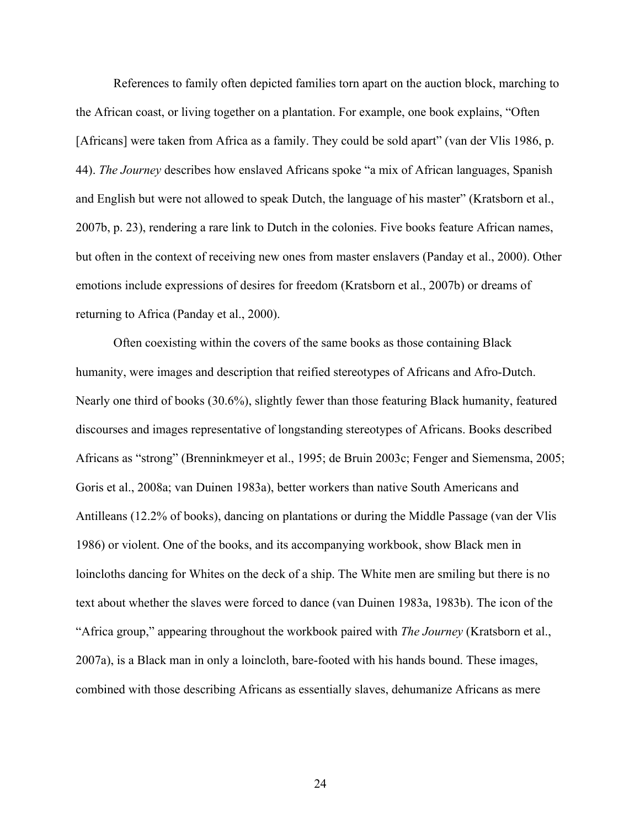References to family often depicted families torn apart on the auction block, marching to the African coast, or living together on a plantation. For example, one book explains, "Often [Africans] were taken from Africa as a family. They could be sold apart" (van der Vlis 1986, p. 44). *The Journey* describes how enslaved Africans spoke "a mix of African languages, Spanish and English but were not allowed to speak Dutch, the language of his master" (Kratsborn et al., 2007b, p. 23), rendering a rare link to Dutch in the colonies. Five books feature African names, but often in the context of receiving new ones from master enslavers (Panday et al., 2000). Other emotions include expressions of desires for freedom (Kratsborn et al., 2007b) or dreams of returning to Africa (Panday et al., 2000).

Often coexisting within the covers of the same books as those containing Black humanity, were images and description that reified stereotypes of Africans and Afro-Dutch. Nearly one third of books (30.6%), slightly fewer than those featuring Black humanity, featured discourses and images representative of longstanding stereotypes of Africans. Books described Africans as "strong" (Brenninkmeyer et al., 1995; de Bruin 2003c; Fenger and Siemensma, 2005; Goris et al., 2008a; van Duinen 1983a), better workers than native South Americans and Antilleans (12.2% of books), dancing on plantations or during the Middle Passage (van der Vlis 1986) or violent. One of the books, and its accompanying workbook, show Black men in loincloths dancing for Whites on the deck of a ship. The White men are smiling but there is no text about whether the slaves were forced to dance (van Duinen 1983a, 1983b). The icon of the "Africa group," appearing throughout the workbook paired with *The Journey* (Kratsborn et al., 2007a), is a Black man in only a loincloth, bare-footed with his hands bound. These images, combined with those describing Africans as essentially slaves, dehumanize Africans as mere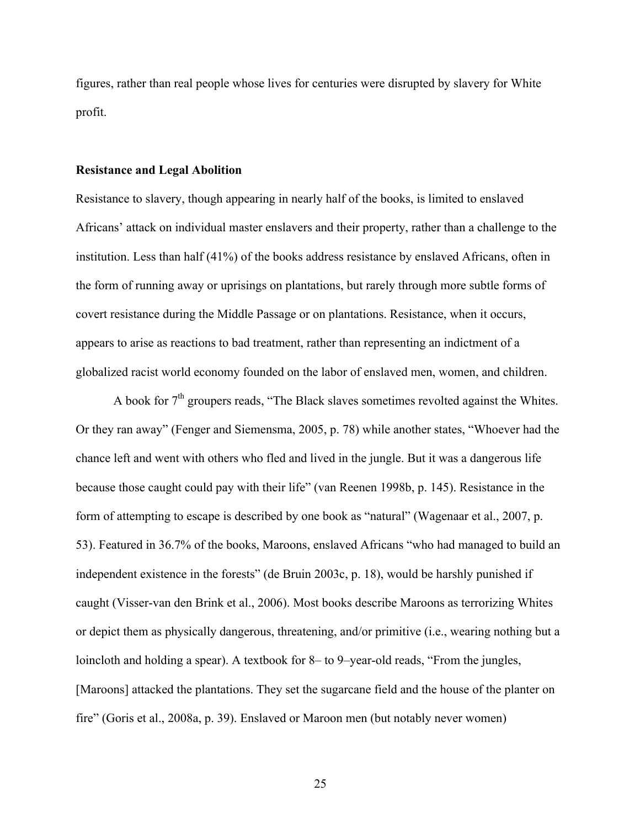figures, rather than real people whose lives for centuries were disrupted by slavery for White profit.

#### **Resistance and Legal Abolition**

Resistance to slavery, though appearing in nearly half of the books, is limited to enslaved Africans' attack on individual master enslavers and their property, rather than a challenge to the institution. Less than half (41%) of the books address resistance by enslaved Africans, often in the form of running away or uprisings on plantations, but rarely through more subtle forms of covert resistance during the Middle Passage or on plantations. Resistance, when it occurs, appears to arise as reactions to bad treatment, rather than representing an indictment of a globalized racist world economy founded on the labor of enslaved men, women, and children.

A book for  $7<sup>th</sup>$  groupers reads, "The Black slaves sometimes revolted against the Whites. Or they ran away" (Fenger and Siemensma, 2005, p. 78) while another states, "Whoever had the chance left and went with others who fled and lived in the jungle. But it was a dangerous life because those caught could pay with their life" (van Reenen 1998b, p. 145). Resistance in the form of attempting to escape is described by one book as "natural" (Wagenaar et al., 2007, p. 53). Featured in 36.7% of the books, Maroons, enslaved Africans "who had managed to build an independent existence in the forests" (de Bruin 2003c, p. 18), would be harshly punished if caught (Visser-van den Brink et al., 2006). Most books describe Maroons as terrorizing Whites or depict them as physically dangerous, threatening, and/or primitive (i.e., wearing nothing but a loincloth and holding a spear). A textbook for 8– to 9–year-old reads, "From the jungles, [Maroons] attacked the plantations. They set the sugarcane field and the house of the planter on fire" (Goris et al., 2008a, p. 39). Enslaved or Maroon men (but notably never women)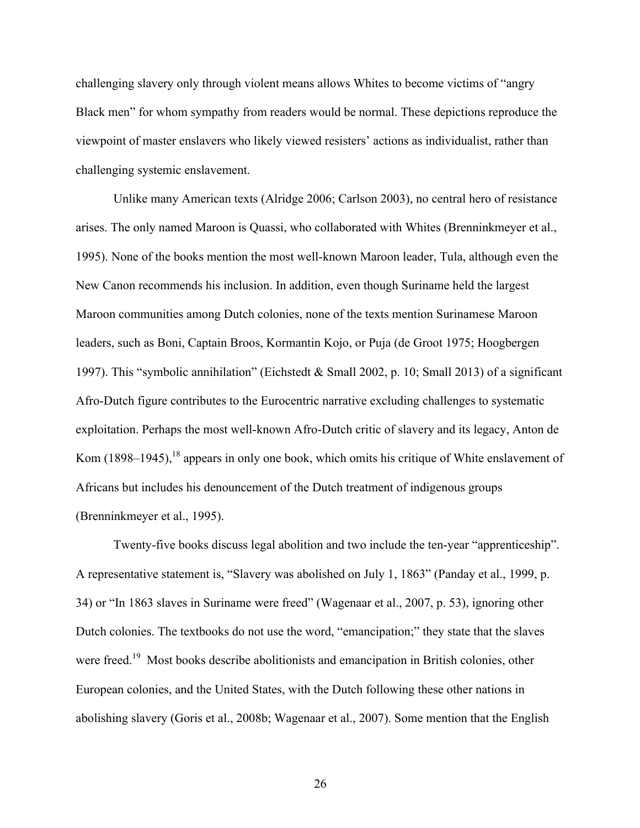challenging slavery only through violent means allows Whites to become victims of "angry Black men" for whom sympathy from readers would be normal. These depictions reproduce the viewpoint of master enslavers who likely viewed resisters' actions as individualist, rather than challenging systemic enslavement.

Unlike many American texts (Alridge 2006; Carlson 2003), no central hero of resistance arises. The only named Maroon is Quassi, who collaborated with Whites (Brenninkmeyer et al., 1995). None of the books mention the most well-known Maroon leader, Tula, although even the New Canon recommends his inclusion. In addition, even though Suriname held the largest Maroon communities among Dutch colonies, none of the texts mention Surinamese Maroon leaders, such as Boni, Captain Broos, Kormantin Kojo, or Puja (de Groot 1975; Hoogbergen 1997). This "symbolic annihilation" (Eichstedt & Small 2002, p. 10; Small 2013) of a significant Afro-Dutch figure contributes to the Eurocentric narrative excluding challenges to systematic exploitation. Perhaps the most well-known Afro-Dutch critic of slavery and its legacy, Anton de Kom (1898–1945),  $^{18}$  appears in only one book, which omits his critique of White enslavement of Africans but includes his denouncement of the Dutch treatment of indigenous groups (Brenninkmeyer et al., 1995).

Twenty-five books discuss legal abolition and two include the ten-year "apprenticeship". A representative statement is, "Slavery was abolished on July 1, 1863" (Panday et al., 1999, p. 34) or "In 1863 slaves in Suriname were freed" (Wagenaar et al., 2007, p. 53), ignoring other Dutch colonies. The textbooks do not use the word, "emancipation;" they state that the slaves were freed.<sup>19</sup> Most books describe abolitionists and emancipation in British colonies, other European colonies, and the United States, with the Dutch following these other nations in abolishing slavery (Goris et al., 2008b; Wagenaar et al., 2007). Some mention that the English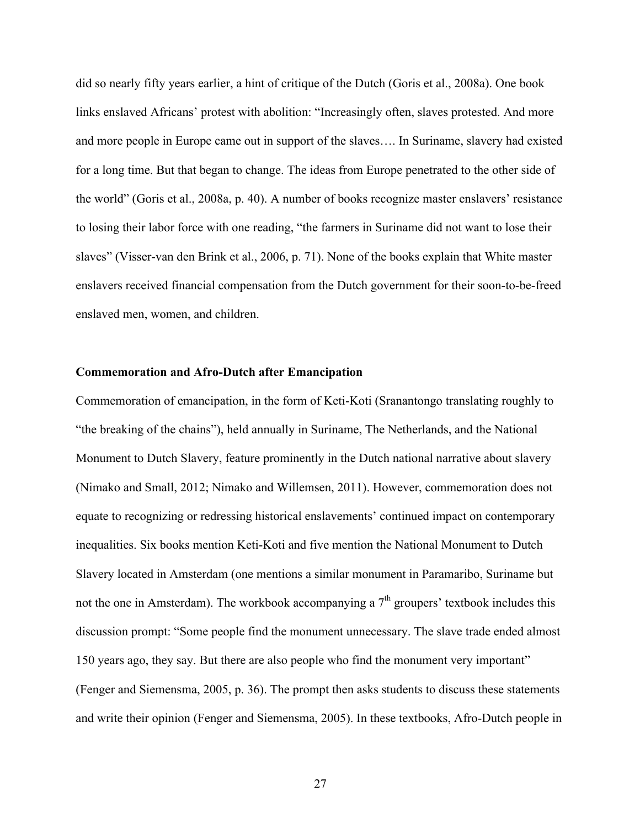did so nearly fifty years earlier, a hint of critique of the Dutch (Goris et al., 2008a). One book links enslaved Africans' protest with abolition: "Increasingly often, slaves protested. And more and more people in Europe came out in support of the slaves…. In Suriname, slavery had existed for a long time. But that began to change. The ideas from Europe penetrated to the other side of the world" (Goris et al., 2008a, p. 40). A number of books recognize master enslavers' resistance to losing their labor force with one reading, "the farmers in Suriname did not want to lose their slaves" (Visser-van den Brink et al., 2006, p. 71). None of the books explain that White master enslavers received financial compensation from the Dutch government for their soon-to-be-freed enslaved men, women, and children.

#### **Commemoration and Afro-Dutch after Emancipation**

Commemoration of emancipation, in the form of Keti-Koti (Sranantongo translating roughly to "the breaking of the chains"), held annually in Suriname, The Netherlands, and the National Monument to Dutch Slavery, feature prominently in the Dutch national narrative about slavery (Nimako and Small, 2012; Nimako and Willemsen, 2011). However, commemoration does not equate to recognizing or redressing historical enslavements' continued impact on contemporary inequalities. Six books mention Keti-Koti and five mention the National Monument to Dutch Slavery located in Amsterdam (one mentions a similar monument in Paramaribo, Suriname but not the one in Amsterdam). The workbook accompanying a  $7<sup>th</sup>$  groupers' textbook includes this discussion prompt: "Some people find the monument unnecessary. The slave trade ended almost 150 years ago, they say. But there are also people who find the monument very important" (Fenger and Siemensma, 2005, p. 36). The prompt then asks students to discuss these statements and write their opinion (Fenger and Siemensma, 2005). In these textbooks, Afro-Dutch people in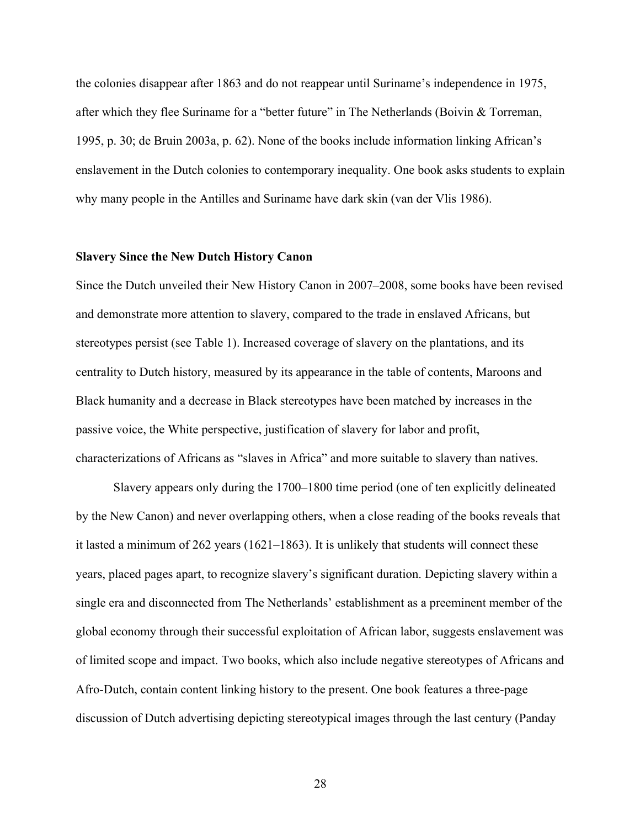the colonies disappear after 1863 and do not reappear until Suriname's independence in 1975, after which they flee Suriname for a "better future" in The Netherlands (Boivin & Torreman, 1995, p. 30; de Bruin 2003a, p. 62). None of the books include information linking African's enslavement in the Dutch colonies to contemporary inequality. One book asks students to explain why many people in the Antilles and Suriname have dark skin (van der Vlis 1986).

## **Slavery Since the New Dutch History Canon**

Since the Dutch unveiled their New History Canon in 2007–2008, some books have been revised and demonstrate more attention to slavery, compared to the trade in enslaved Africans, but stereotypes persist (see Table 1). Increased coverage of slavery on the plantations, and its centrality to Dutch history, measured by its appearance in the table of contents, Maroons and Black humanity and a decrease in Black stereotypes have been matched by increases in the passive voice, the White perspective, justification of slavery for labor and profit, characterizations of Africans as "slaves in Africa" and more suitable to slavery than natives.

Slavery appears only during the 1700–1800 time period (one of ten explicitly delineated by the New Canon) and never overlapping others, when a close reading of the books reveals that it lasted a minimum of 262 years (1621–1863). It is unlikely that students will connect these years, placed pages apart, to recognize slavery's significant duration. Depicting slavery within a single era and disconnected from The Netherlands' establishment as a preeminent member of the global economy through their successful exploitation of African labor, suggests enslavement was of limited scope and impact. Two books, which also include negative stereotypes of Africans and Afro-Dutch, contain content linking history to the present. One book features a three-page discussion of Dutch advertising depicting stereotypical images through the last century (Panday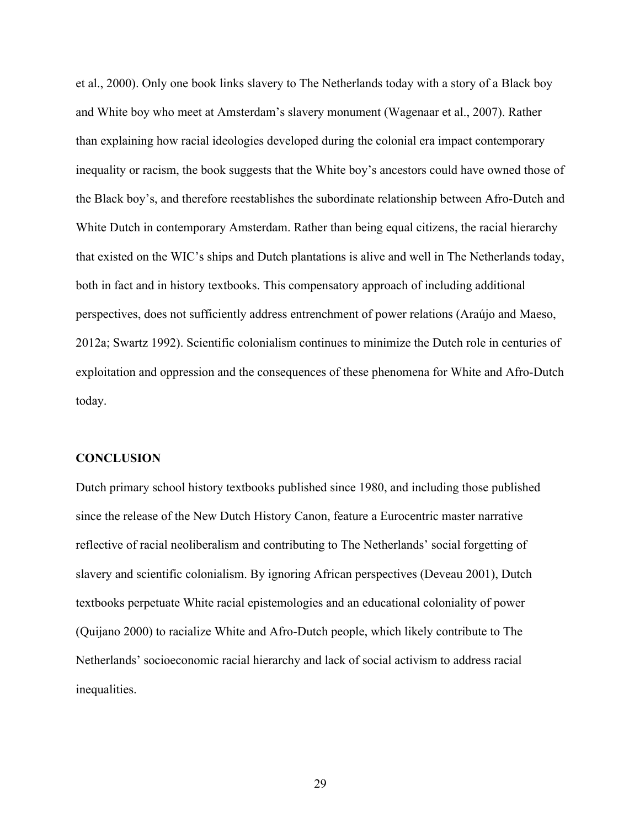et al., 2000). Only one book links slavery to The Netherlands today with a story of a Black boy and White boy who meet at Amsterdam's slavery monument (Wagenaar et al., 2007). Rather than explaining how racial ideologies developed during the colonial era impact contemporary inequality or racism, the book suggests that the White boy's ancestors could have owned those of the Black boy's, and therefore reestablishes the subordinate relationship between Afro-Dutch and White Dutch in contemporary Amsterdam. Rather than being equal citizens, the racial hierarchy that existed on the WIC's ships and Dutch plantations is alive and well in The Netherlands today, both in fact and in history textbooks. This compensatory approach of including additional perspectives, does not sufficiently address entrenchment of power relations (Araújo and Maeso, 2012a; Swartz 1992). Scientific colonialism continues to minimize the Dutch role in centuries of exploitation and oppression and the consequences of these phenomena for White and Afro-Dutch today.

#### **CONCLUSION**

Dutch primary school history textbooks published since 1980, and including those published since the release of the New Dutch History Canon, feature a Eurocentric master narrative reflective of racial neoliberalism and contributing to The Netherlands' social forgetting of slavery and scientific colonialism. By ignoring African perspectives (Deveau 2001), Dutch textbooks perpetuate White racial epistemologies and an educational coloniality of power (Quijano 2000) to racialize White and Afro-Dutch people, which likely contribute to The Netherlands' socioeconomic racial hierarchy and lack of social activism to address racial inequalities.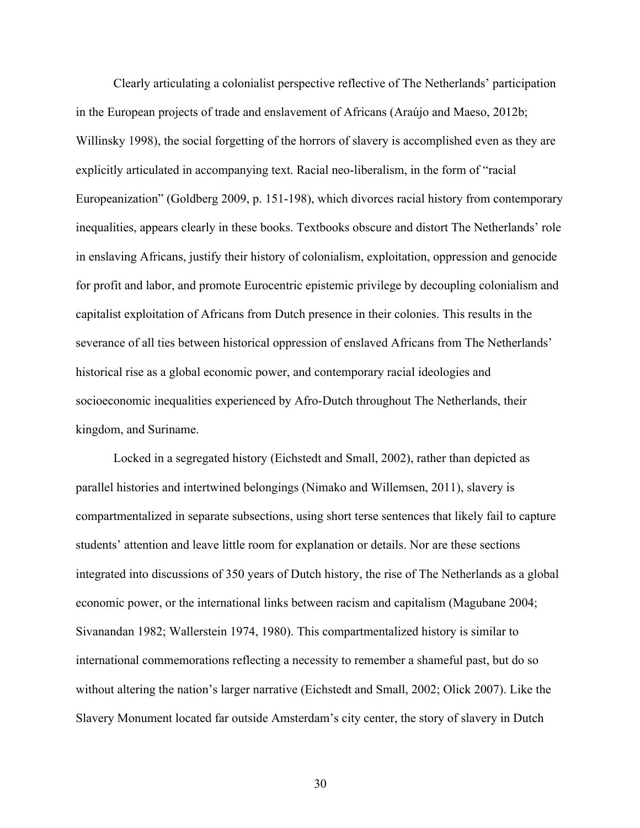Clearly articulating a colonialist perspective reflective of The Netherlands' participation in the European projects of trade and enslavement of Africans (Araújo and Maeso, 2012b; Willinsky 1998), the social forgetting of the horrors of slavery is accomplished even as they are explicitly articulated in accompanying text. Racial neo-liberalism, in the form of "racial Europeanization" (Goldberg 2009, p. 151-198), which divorces racial history from contemporary inequalities, appears clearly in these books. Textbooks obscure and distort The Netherlands' role in enslaving Africans, justify their history of colonialism, exploitation, oppression and genocide for profit and labor, and promote Eurocentric epistemic privilege by decoupling colonialism and capitalist exploitation of Africans from Dutch presence in their colonies. This results in the severance of all ties between historical oppression of enslaved Africans from The Netherlands' historical rise as a global economic power, and contemporary racial ideologies and socioeconomic inequalities experienced by Afro-Dutch throughout The Netherlands, their kingdom, and Suriname.

Locked in a segregated history (Eichstedt and Small, 2002), rather than depicted as parallel histories and intertwined belongings (Nimako and Willemsen, 2011), slavery is compartmentalized in separate subsections, using short terse sentences that likely fail to capture students' attention and leave little room for explanation or details. Nor are these sections integrated into discussions of 350 years of Dutch history, the rise of The Netherlands as a global economic power, or the international links between racism and capitalism (Magubane 2004; Sivanandan 1982; Wallerstein 1974, 1980). This compartmentalized history is similar to international commemorations reflecting a necessity to remember a shameful past, but do so without altering the nation's larger narrative (Eichstedt and Small, 2002; Olick 2007). Like the Slavery Monument located far outside Amsterdam's city center, the story of slavery in Dutch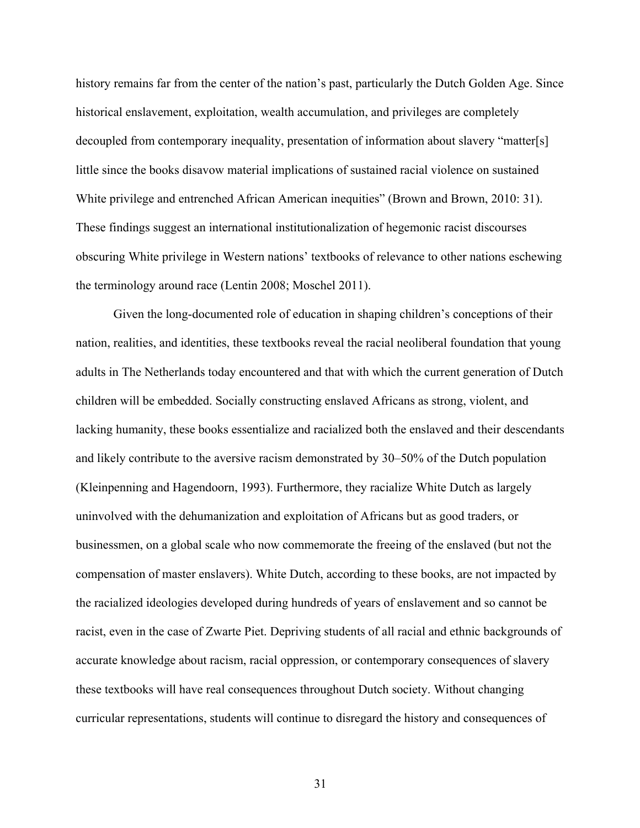history remains far from the center of the nation's past, particularly the Dutch Golden Age. Since historical enslavement, exploitation, wealth accumulation, and privileges are completely decoupled from contemporary inequality, presentation of information about slavery "matter[s] little since the books disavow material implications of sustained racial violence on sustained White privilege and entrenched African American inequities" (Brown and Brown, 2010: 31). These findings suggest an international institutionalization of hegemonic racist discourses obscuring White privilege in Western nations' textbooks of relevance to other nations eschewing the terminology around race (Lentin 2008; Moschel 2011).

Given the long-documented role of education in shaping children's conceptions of their nation, realities, and identities, these textbooks reveal the racial neoliberal foundation that young adults in The Netherlands today encountered and that with which the current generation of Dutch children will be embedded. Socially constructing enslaved Africans as strong, violent, and lacking humanity, these books essentialize and racialized both the enslaved and their descendants and likely contribute to the aversive racism demonstrated by 30–50% of the Dutch population (Kleinpenning and Hagendoorn, 1993). Furthermore, they racialize White Dutch as largely uninvolved with the dehumanization and exploitation of Africans but as good traders, or businessmen, on a global scale who now commemorate the freeing of the enslaved (but not the compensation of master enslavers). White Dutch, according to these books, are not impacted by the racialized ideologies developed during hundreds of years of enslavement and so cannot be racist, even in the case of Zwarte Piet. Depriving students of all racial and ethnic backgrounds of accurate knowledge about racism, racial oppression, or contemporary consequences of slavery these textbooks will have real consequences throughout Dutch society. Without changing curricular representations, students will continue to disregard the history and consequences of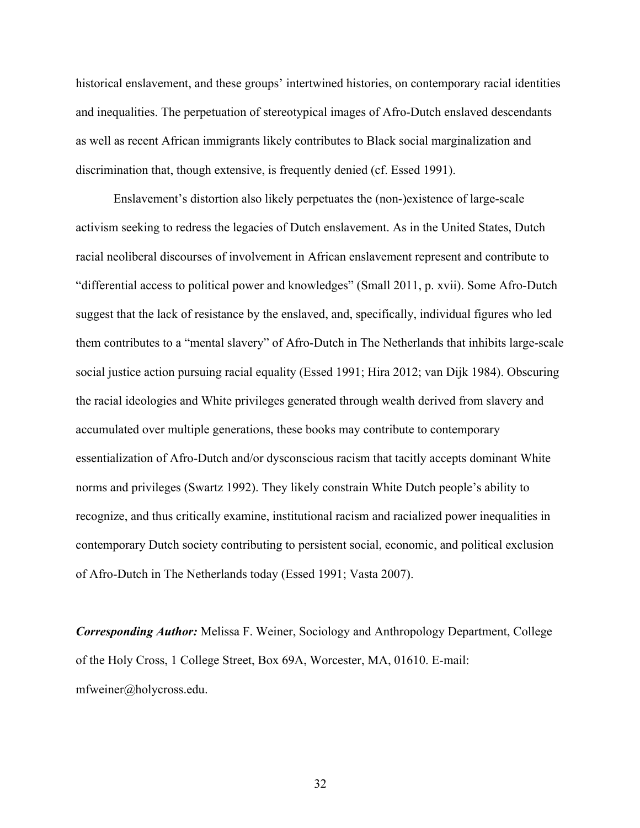historical enslavement, and these groups' intertwined histories, on contemporary racial identities and inequalities. The perpetuation of stereotypical images of Afro-Dutch enslaved descendants as well as recent African immigrants likely contributes to Black social marginalization and discrimination that, though extensive, is frequently denied (cf. Essed 1991).

Enslavement's distortion also likely perpetuates the (non-)existence of large-scale activism seeking to redress the legacies of Dutch enslavement. As in the United States, Dutch racial neoliberal discourses of involvement in African enslavement represent and contribute to "differential access to political power and knowledges" (Small 2011, p. xvii). Some Afro-Dutch suggest that the lack of resistance by the enslaved, and, specifically, individual figures who led them contributes to a "mental slavery" of Afro-Dutch in The Netherlands that inhibits large-scale social justice action pursuing racial equality (Essed 1991; Hira 2012; van Dijk 1984). Obscuring the racial ideologies and White privileges generated through wealth derived from slavery and accumulated over multiple generations, these books may contribute to contemporary essentialization of Afro-Dutch and/or dysconscious racism that tacitly accepts dominant White norms and privileges (Swartz 1992). They likely constrain White Dutch people's ability to recognize, and thus critically examine, institutional racism and racialized power inequalities in contemporary Dutch society contributing to persistent social, economic, and political exclusion of Afro-Dutch in The Netherlands today (Essed 1991; Vasta 2007).

*Corresponding Author:* Melissa F. Weiner, Sociology and Anthropology Department, College of the Holy Cross, 1 College Street, Box 69A, Worcester, MA, 01610. E-mail: mfweiner@holycross.edu.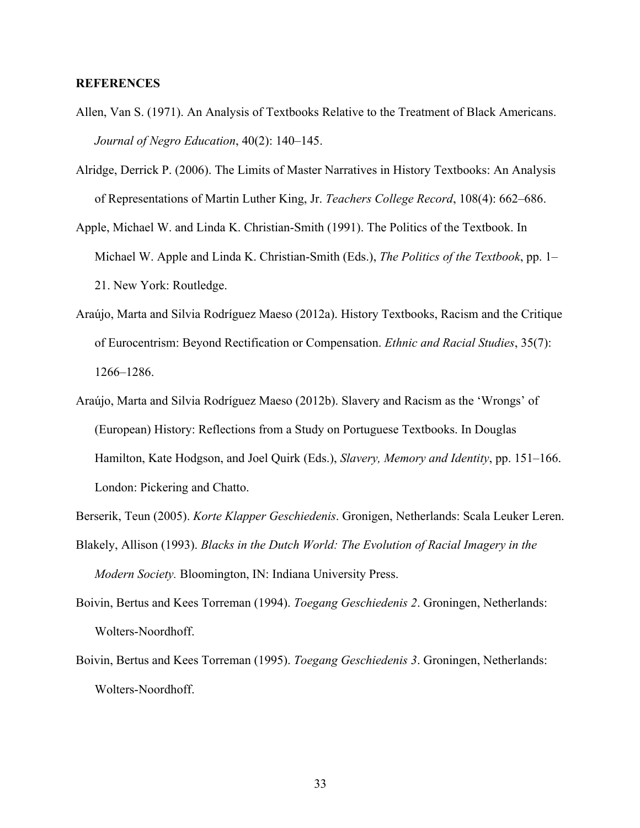# **REFERENCES**

- Allen, Van S. (1971). An Analysis of Textbooks Relative to the Treatment of Black Americans. *Journal of Negro Education*, 40(2): 140–145.
- Alridge, Derrick P. (2006). The Limits of Master Narratives in History Textbooks: An Analysis of Representations of Martin Luther King, Jr. *Teachers College Record*, 108(4): 662–686.
- Apple, Michael W. and Linda K. Christian-Smith (1991). The Politics of the Textbook. In Michael W. Apple and Linda K. Christian-Smith (Eds.), *The Politics of the Textbook*, pp. 1– 21. New York: Routledge.
- Araújo, Marta and Silvia Rodríguez Maeso (2012a). History Textbooks, Racism and the Critique of Eurocentrism: Beyond Rectification or Compensation. *Ethnic and Racial Studies*, 35(7): 1266–1286.
- Araújo, Marta and Silvia Rodríguez Maeso (2012b). Slavery and Racism as the 'Wrongs' of (European) History: Reflections from a Study on Portuguese Textbooks. In Douglas Hamilton, Kate Hodgson, and Joel Quirk (Eds.), *Slavery, Memory and Identity*, pp. 151–166. London: Pickering and Chatto.
- Berserik, Teun (2005). *Korte Klapper Geschiedenis*. Gronigen, Netherlands: Scala Leuker Leren.
- Blakely, Allison (1993). *Blacks in the Dutch World: The Evolution of Racial Imagery in the Modern Society.* Bloomington, IN: Indiana University Press.
- Boivin, Bertus and Kees Torreman (1994). *Toegang Geschiedenis 2*. Groningen, Netherlands: Wolters-Noordhoff.
- Boivin, Bertus and Kees Torreman (1995). *Toegang Geschiedenis 3*. Groningen, Netherlands: Wolters-Noordhoff.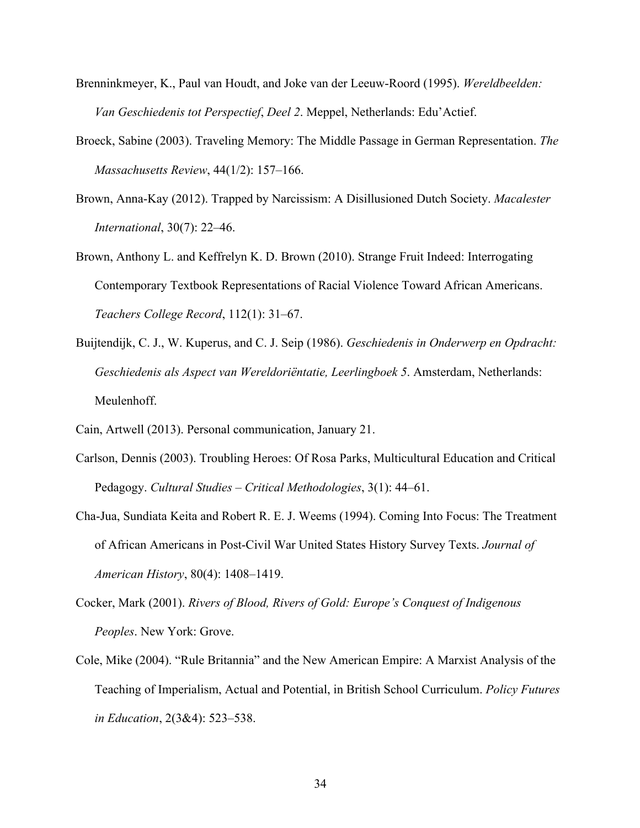- Brenninkmeyer, K., Paul van Houdt, and Joke van der Leeuw-Roord (1995). *Wereldbeelden: Van Geschiedenis tot Perspectief*, *Deel 2*. Meppel, Netherlands: Edu'Actief.
- Broeck, Sabine (2003). Traveling Memory: The Middle Passage in German Representation. *The Massachusetts Review*, 44(1/2): 157–166.
- Brown, Anna-Kay (2012). Trapped by Narcissism: A Disillusioned Dutch Society. *Macalester International*, 30(7): 22–46.
- Brown, Anthony L. and Keffrelyn K. D. Brown (2010). Strange Fruit Indeed: Interrogating Contemporary Textbook Representations of Racial Violence Toward African Americans. *Teachers College Record*, 112(1): 31–67.
- Buijtendijk, C. J., W. Kuperus, and C. J. Seip (1986). *Geschiedenis in Onderwerp en Opdracht: Geschiedenis als Aspect van Wereldoriëntatie, Leerlingboek 5*. Amsterdam, Netherlands: Meulenhoff.
- Cain, Artwell (2013). Personal communication, January 21.
- Carlson, Dennis (2003). Troubling Heroes: Of Rosa Parks, Multicultural Education and Critical Pedagogy. *Cultural Studies – Critical Methodologies*, 3(1): 44–61.
- Cha-Jua, Sundiata Keita and Robert R. E. J. Weems (1994). Coming Into Focus: The Treatment of African Americans in Post-Civil War United States History Survey Texts. *Journal of American History*, 80(4): 1408–1419.
- Cocker, Mark (2001). *Rivers of Blood, Rivers of Gold: Europe's Conquest of Indigenous Peoples*. New York: Grove.
- Cole, Mike (2004). "Rule Britannia" and the New American Empire: A Marxist Analysis of the Teaching of Imperialism, Actual and Potential, in British School Curriculum. *Policy Futures in Education*, 2(3&4): 523–538.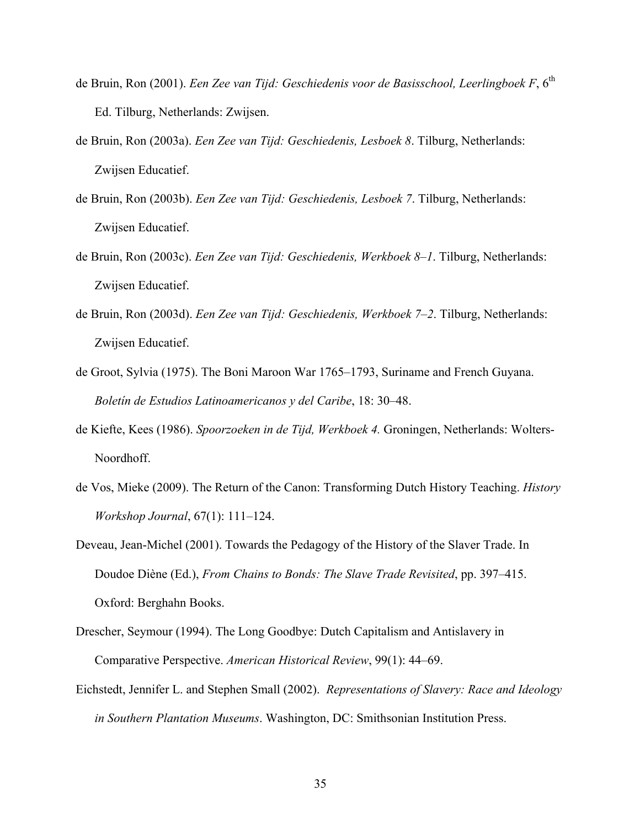- de Bruin, Ron (2001). *Een Zee van Tijd: Geschiedenis voor de Basisschool, Leerlingboek F*, 6<sup>th</sup> Ed. Tilburg, Netherlands: Zwijsen.
- de Bruin, Ron (2003a). *Een Zee van Tijd: Geschiedenis, Lesboek 8*. Tilburg, Netherlands: Zwijsen Educatief.
- de Bruin, Ron (2003b). *Een Zee van Tijd: Geschiedenis, Lesboek 7*. Tilburg, Netherlands: Zwijsen Educatief.
- de Bruin, Ron (2003c). *Een Zee van Tijd: Geschiedenis, Werkboek 8–1*. Tilburg, Netherlands: Zwijsen Educatief.
- de Bruin, Ron (2003d). *Een Zee van Tijd: Geschiedenis, Werkboek 7–2*. Tilburg, Netherlands: Zwijsen Educatief.
- de Groot, Sylvia (1975). The Boni Maroon War 1765–1793, Suriname and French Guyana. *Boletín de Estudios Latinoamericanos y del Caribe*, 18: 30–48.
- de Kiefte, Kees (1986). *Spoorzoeken in de Tijd, Werkboek 4.* Groningen, Netherlands: Wolters-Noordhoff.
- de Vos, Mieke (2009). The Return of the Canon: Transforming Dutch History Teaching. *History Workshop Journal*, 67(1): 111–124.

Deveau, Jean-Michel (2001). Towards the Pedagogy of the History of the Slaver Trade. In Doudoe Diène (Ed.), *From Chains to Bonds: The Slave Trade Revisited*, pp. 397–415. Oxford: Berghahn Books.

- Drescher, Seymour (1994). The Long Goodbye: Dutch Capitalism and Antislavery in Comparative Perspective. *American Historical Review*, 99(1): 44–69.
- Eichstedt, Jennifer L. and Stephen Small (2002). *Representations of Slavery: Race and Ideology in Southern Plantation Museums*. Washington, DC: Smithsonian Institution Press.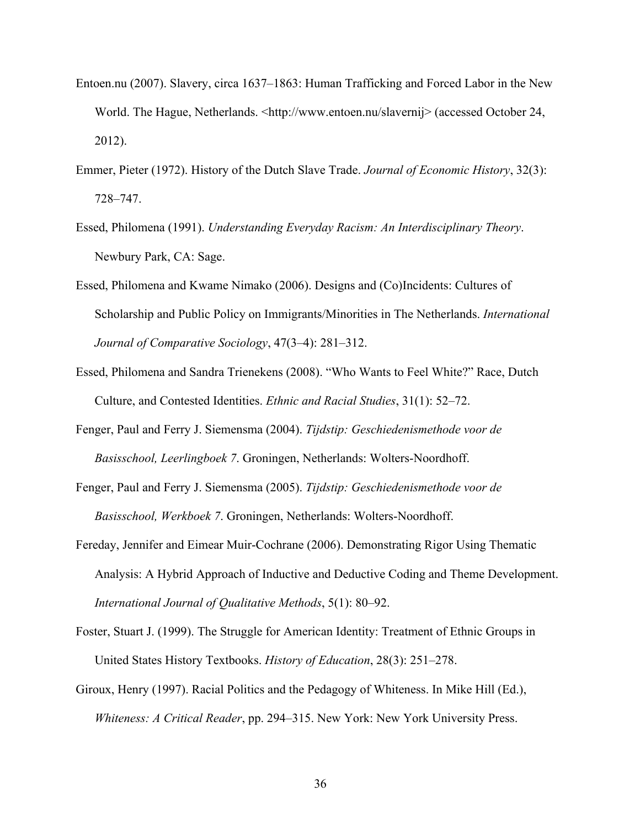- Entoen.nu (2007). Slavery, circa 1637–1863: Human Trafficking and Forced Labor in the New World. The Hague, Netherlands. <http://www.entoen.nu/slavernij> (accessed October 24, 2012).
- Emmer, Pieter (1972). History of the Dutch Slave Trade. *Journal of Economic History*, 32(3): 728–747.
- Essed, Philomena (1991). *Understanding Everyday Racism: An Interdisciplinary Theory*. Newbury Park, CA: Sage.
- Essed, Philomena and Kwame Nimako (2006). Designs and (Co)Incidents: Cultures of Scholarship and Public Policy on Immigrants/Minorities in The Netherlands. *International Journal of Comparative Sociology*, 47(3–4): 281–312.
- Essed, Philomena and Sandra Trienekens (2008). "Who Wants to Feel White?" Race, Dutch Culture, and Contested Identities. *Ethnic and Racial Studies*, 31(1): 52–72.
- Fenger, Paul and Ferry J. Siemensma (2004). *Tijdstip: Geschiedenismethode voor de Basisschool, Leerlingboek 7*. Groningen, Netherlands: Wolters-Noordhoff.
- Fenger, Paul and Ferry J. Siemensma (2005). *Tijdstip: Geschiedenismethode voor de Basisschool, Werkboek 7*. Groningen, Netherlands: Wolters-Noordhoff.
- Fereday, Jennifer and Eimear Muir-Cochrane (2006). Demonstrating Rigor Using Thematic Analysis: A Hybrid Approach of Inductive and Deductive Coding and Theme Development. *International Journal of Qualitative Methods*, 5(1): 80–92.
- Foster, Stuart J. (1999). The Struggle for American Identity: Treatment of Ethnic Groups in United States History Textbooks. *History of Education*, 28(3): 251–278.
- Giroux, Henry (1997). Racial Politics and the Pedagogy of Whiteness. In Mike Hill (Ed.), *Whiteness: A Critical Reader*, pp. 294–315. New York: New York University Press.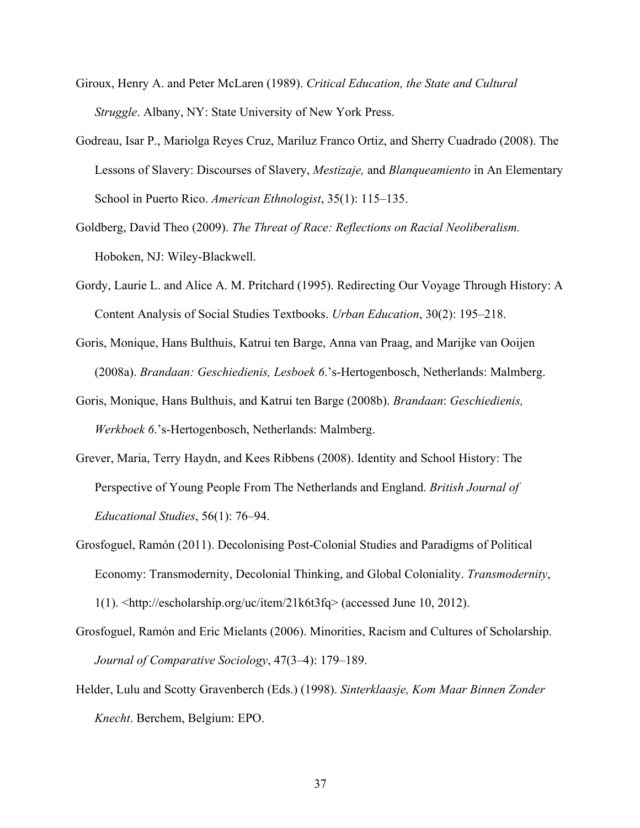- Giroux, Henry A. and Peter McLaren (1989). *Critical Education, the State and Cultural Struggle*. Albany, NY: State University of New York Press.
- Godreau, Isar P., Mariolga Reyes Cruz, Mariluz Franco Ortiz, and Sherry Cuadrado (2008). The Lessons of Slavery: Discourses of Slavery, *Mestizaje,* and *Blanqueamiento* in An Elementary School in Puerto Rico. *American Ethnologist*, 35(1): 115–135.
- Goldberg, David Theo (2009). *The Threat of Race: Reflections on Racial Neoliberalism.* Hoboken, NJ: Wiley-Blackwell.
- Gordy, Laurie L. and Alice A. M. Pritchard (1995). Redirecting Our Voyage Through History: A Content Analysis of Social Studies Textbooks. *Urban Education*, 30(2): 195–218.
- Goris, Monique, Hans Bulthuis, Katrui ten Barge, Anna van Praag, and Marijke van Ooijen (2008a). *Brandaan: Geschiedienis, Lesboek 6*.'s-Hertogenbosch, Netherlands: Malmberg.
- Goris, Monique, Hans Bulthuis, and Katrui ten Barge (2008b). *Brandaan*: *Geschiedienis, Werkboek 6*.'s-Hertogenbosch, Netherlands: Malmberg.
- Grever, Maria, Terry Haydn, and Kees Ribbens (2008). Identity and School History: The Perspective of Young People From The Netherlands and England. *British Journal of Educational Studies*, 56(1): 76–94.
- Grosfoguel, Ramón (2011). Decolonising Post-Colonial Studies and Paradigms of Political Economy: Transmodernity, Decolonial Thinking, and Global Coloniality. *Transmodernity*, 1(1). <http://escholarship.org/uc/item/21k6t3fq> (accessed June 10, 2012).
- Grosfoguel, Ramón and Eric Mielants (2006). Minorities, Racism and Cultures of Scholarship. *Journal of Comparative Sociology*, 47(3–4): 179–189.
- Helder, Lulu and Scotty Gravenberch (Eds.) (1998). *Sinterklaasje, Kom Maar Binnen Zonder Knecht*. Berchem, Belgium: EPO.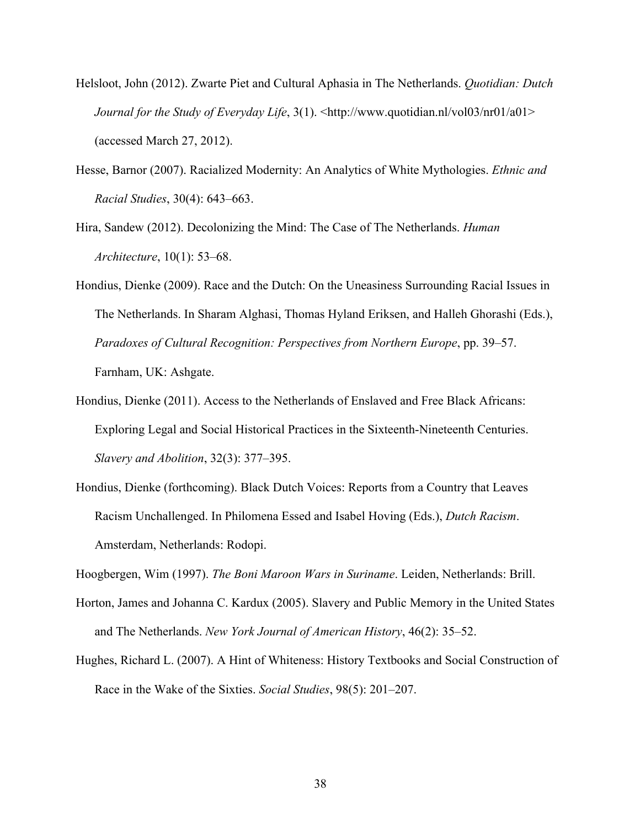- Helsloot, John (2012). Zwarte Piet and Cultural Aphasia in The Netherlands. *Quotidian: Dutch Journal for the Study of Everyday Life*, 3(1). <http://www.quotidian.nl/yol03/nr01/a01> (accessed March 27, 2012).
- Hesse, Barnor (2007). Racialized Modernity: An Analytics of White Mythologies. *Ethnic and Racial Studies*, 30(4): 643–663.
- Hira, Sandew (2012). Decolonizing the Mind: The Case of The Netherlands. *Human Architecture*, 10(1): 53–68.
- Hondius, Dienke (2009). Race and the Dutch: On the Uneasiness Surrounding Racial Issues in The Netherlands. In Sharam Alghasi, Thomas Hyland Eriksen, and Halleh Ghorashi (Eds.), *Paradoxes of Cultural Recognition: Perspectives from Northern Europe*, pp. 39–57. Farnham, UK: Ashgate.
- Hondius, Dienke (2011). Access to the Netherlands of Enslaved and Free Black Africans: Exploring Legal and Social Historical Practices in the Sixteenth-Nineteenth Centuries. *Slavery and Abolition*, 32(3): 377–395.
- Hondius, Dienke (forthcoming). Black Dutch Voices: Reports from a Country that Leaves Racism Unchallenged. In Philomena Essed and Isabel Hoving (Eds.), *Dutch Racism*. Amsterdam, Netherlands: Rodopi.

Hoogbergen, Wim (1997). *The Boni Maroon Wars in Suriname*. Leiden, Netherlands: Brill.

- Horton, James and Johanna C. Kardux (2005). Slavery and Public Memory in the United States and The Netherlands. *New York Journal of American History*, 46(2): 35–52.
- Hughes, Richard L. (2007). A Hint of Whiteness: History Textbooks and Social Construction of Race in the Wake of the Sixties. *Social Studies*, 98(5): 201–207.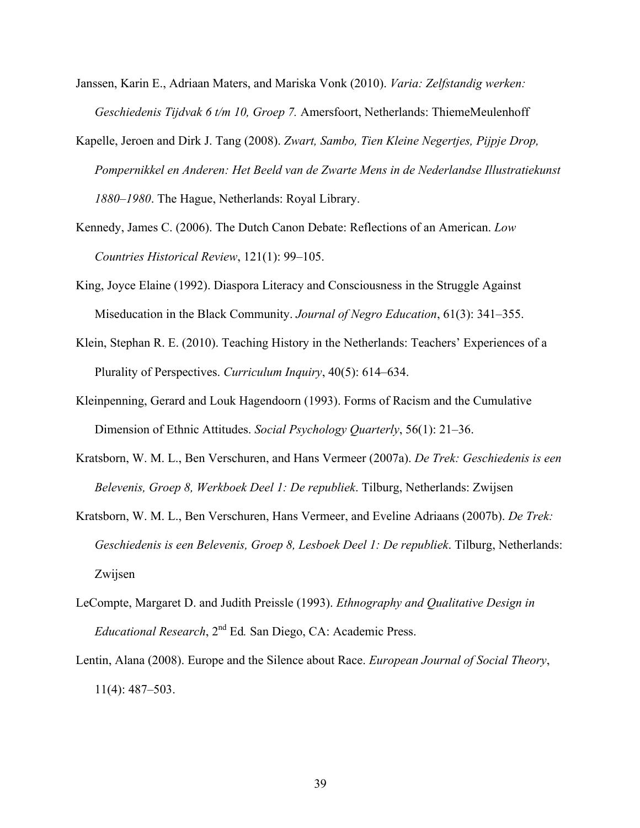- Janssen, Karin E., Adriaan Maters, and Mariska Vonk (2010). *Varia: Zelfstandig werken: Geschiedenis Tijdvak 6 t/m 10, Groep 7.* Amersfoort, Netherlands: ThiemeMeulenhoff
- Kapelle, Jeroen and Dirk J. Tang (2008). *Zwart, Sambo, Tien Kleine Negertjes, Pijpje Drop, Pompernikkel en Anderen: Het Beeld van de Zwarte Mens in de Nederlandse Illustratiekunst 1880–1980*. The Hague, Netherlands: Royal Library.
- Kennedy, James C. (2006). The Dutch Canon Debate: Reflections of an American. *Low Countries Historical Review*, 121(1): 99–105.
- King, Joyce Elaine (1992). Diaspora Literacy and Consciousness in the Struggle Against Miseducation in the Black Community. *Journal of Negro Education*, 61(3): 341–355.
- Klein, Stephan R. E. (2010). Teaching History in the Netherlands: Teachers' Experiences of a Plurality of Perspectives. *Curriculum Inquiry*, 40(5): 614–634.
- Kleinpenning, Gerard and Louk Hagendoorn (1993). Forms of Racism and the Cumulative Dimension of Ethnic Attitudes. *Social Psychology Quarterly*, 56(1): 21–36.
- Kratsborn, W. M. L., Ben Verschuren, and Hans Vermeer (2007a). *De Trek: Geschiedenis is een Belevenis, Groep 8, Werkboek Deel 1: De republiek*. Tilburg, Netherlands: Zwijsen
- Kratsborn, W. M. L., Ben Verschuren, Hans Vermeer, and Eveline Adriaans (2007b). *De Trek: Geschiedenis is een Belevenis, Groep 8, Lesboek Deel 1: De republiek*. Tilburg, Netherlands: Zwijsen
- LeCompte, Margaret D. and Judith Preissle (1993). *Ethnography and Qualitative Design in Educational Research*, 2nd Ed*.* San Diego, CA: Academic Press.
- Lentin, Alana (2008). Europe and the Silence about Race. *European Journal of Social Theory*, 11(4): 487–503.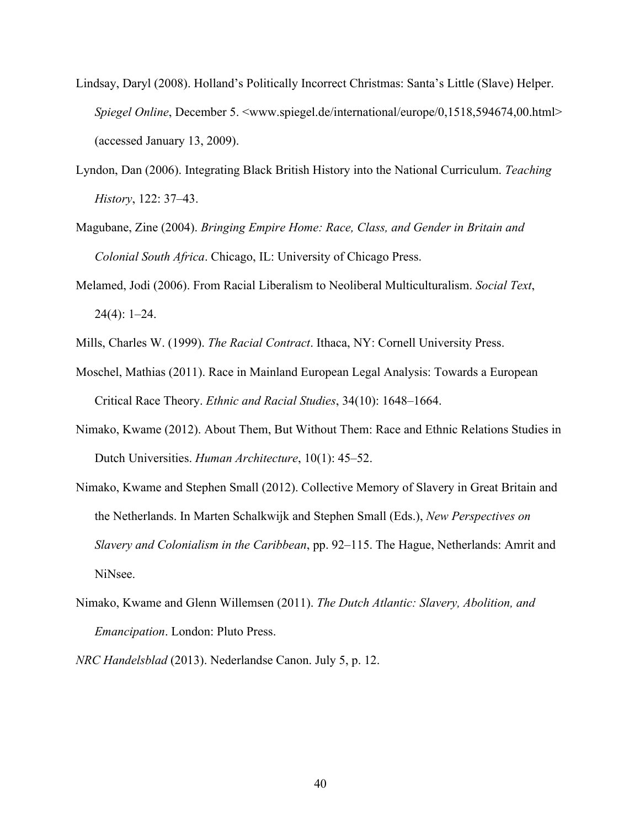- Lindsay, Daryl (2008). Holland's Politically Incorrect Christmas: Santa's Little (Slave) Helper. *Spiegel Online*, December 5.  $\leq$ www.spiegel.de/international/europe/0,1518,594674,00.html> (accessed January 13, 2009).
- Lyndon, Dan (2006). Integrating Black British History into the National Curriculum. *Teaching History*, 122: 37–43.
- Magubane, Zine (2004). *Bringing Empire Home: Race, Class, and Gender in Britain and Colonial South Africa*. Chicago, IL: University of Chicago Press.
- Melamed, Jodi (2006). From Racial Liberalism to Neoliberal Multiculturalism. *Social Text*,  $24(4): 1-24.$
- Mills, Charles W. (1999). *The Racial Contract*. Ithaca, NY: Cornell University Press.
- Moschel, Mathias (2011). Race in Mainland European Legal Analysis: Towards a European Critical Race Theory. *Ethnic and Racial Studies*, 34(10): 1648–1664.
- Nimako, Kwame (2012). About Them, But Without Them: Race and Ethnic Relations Studies in Dutch Universities. *Human Architecture*, 10(1): 45–52.
- Nimako, Kwame and Stephen Small (2012). Collective Memory of Slavery in Great Britain and the Netherlands. In Marten Schalkwijk and Stephen Small (Eds.), *New Perspectives on Slavery and Colonialism in the Caribbean*, pp. 92–115. The Hague, Netherlands: Amrit and NiNsee.
- Nimako, Kwame and Glenn Willemsen (2011). *The Dutch Atlantic: Slavery, Abolition, and Emancipation*. London: Pluto Press.
- *NRC Handelsblad* (2013). Nederlandse Canon. July 5, p. 12.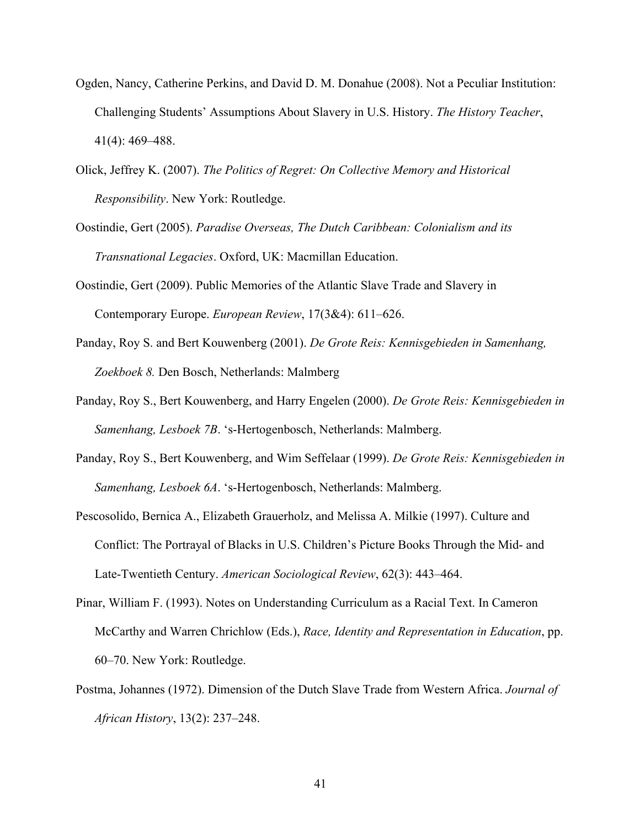- Ogden, Nancy, Catherine Perkins, and David D. M. Donahue (2008). Not a Peculiar Institution: Challenging Students' Assumptions About Slavery in U.S. History. *The History Teacher*, 41(4): 469–488.
- Olick, Jeffrey K. (2007). *The Politics of Regret: On Collective Memory and Historical Responsibility*. New York: Routledge.
- Oostindie, Gert (2005). *Paradise Overseas, The Dutch Caribbean: Colonialism and its Transnational Legacies*. Oxford, UK: Macmillan Education.
- Oostindie, Gert (2009). Public Memories of the Atlantic Slave Trade and Slavery in Contemporary Europe. *European Review*, 17(3&4): 611–626.
- Panday, Roy S. and Bert Kouwenberg (2001). *De Grote Reis: Kennisgebieden in Samenhang, Zoekboek 8.* Den Bosch, Netherlands: Malmberg
- Panday, Roy S., Bert Kouwenberg, and Harry Engelen (2000). *De Grote Reis: Kennisgebieden in Samenhang, Lesboek 7B*. 's-Hertogenbosch, Netherlands: Malmberg.
- Panday, Roy S., Bert Kouwenberg, and Wim Seffelaar (1999). *De Grote Reis: Kennisgebieden in Samenhang, Lesboek 6A*. 's-Hertogenbosch, Netherlands: Malmberg.
- Pescosolido, Bernica A., Elizabeth Grauerholz, and Melissa A. Milkie (1997). Culture and Conflict: The Portrayal of Blacks in U.S. Children's Picture Books Through the Mid- and Late-Twentieth Century. *American Sociological Review*, 62(3): 443–464.
- Pinar, William F. (1993). Notes on Understanding Curriculum as a Racial Text. In Cameron McCarthy and Warren Chrichlow (Eds.), *Race, Identity and Representation in Education*, pp. 60–70. New York: Routledge.
- Postma, Johannes (1972). Dimension of the Dutch Slave Trade from Western Africa. *Journal of African History*, 13(2): 237–248.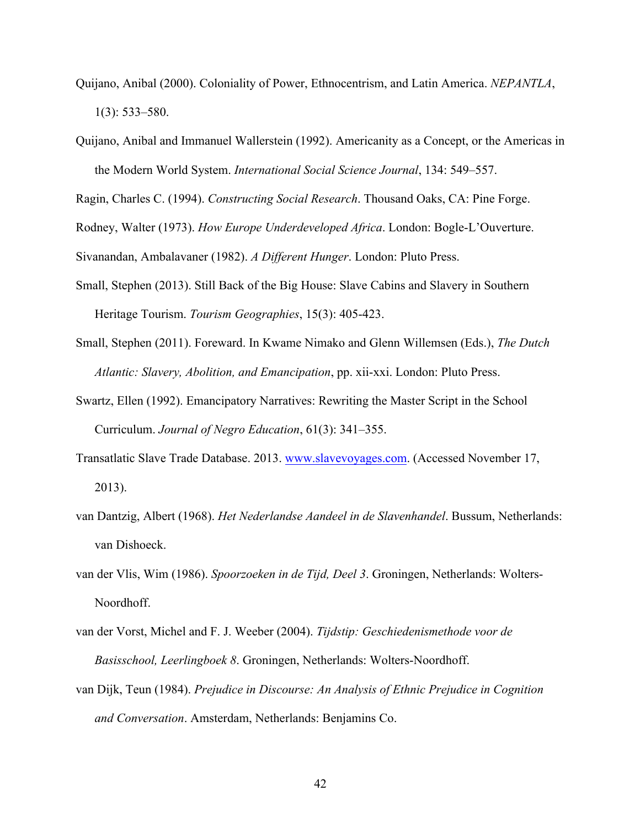- Quijano, Anibal (2000). Coloniality of Power, Ethnocentrism, and Latin America. *NEPANTLA*, 1(3): 533–580.
- Quijano, Anibal and Immanuel Wallerstein (1992). Americanity as a Concept, or the Americas in the Modern World System. *International Social Science Journal*, 134: 549–557.

Ragin, Charles C. (1994). *Constructing Social Research*. Thousand Oaks, CA: Pine Forge.

Rodney, Walter (1973). *How Europe Underdeveloped Africa*. London: Bogle-L'Ouverture.

Sivanandan, Ambalavaner (1982). *A Different Hunger*. London: Pluto Press.

- Small, Stephen (2013). Still Back of the Big House: Slave Cabins and Slavery in Southern Heritage Tourism. *Tourism Geographies*, 15(3): 405-423.
- Small, Stephen (2011). Foreward. In Kwame Nimako and Glenn Willemsen (Eds.), *The Dutch Atlantic: Slavery, Abolition, and Emancipation*, pp. xii-xxi. London: Pluto Press.
- Swartz, Ellen (1992). Emancipatory Narratives: Rewriting the Master Script in the School Curriculum. *Journal of Negro Education*, 61(3): 341–355.
- Transatlatic Slave Trade Database. 2013. www.slavevoyages.com. (Accessed November 17, 2013).
- van Dantzig, Albert (1968). *Het Nederlandse Aandeel in de Slavenhandel*. Bussum, Netherlands: van Dishoeck.
- van der Vlis, Wim (1986). *Spoorzoeken in de Tijd, Deel 3*. Groningen, Netherlands: Wolters-Noordhoff.
- van der Vorst, Michel and F. J. Weeber (2004). *Tijdstip: Geschiedenismethode voor de Basisschool, Leerlingboek 8*. Groningen, Netherlands: Wolters-Noordhoff.
- van Dijk, Teun (1984). *Prejudice in Discourse: An Analysis of Ethnic Prejudice in Cognition and Conversation*. Amsterdam, Netherlands: Benjamins Co.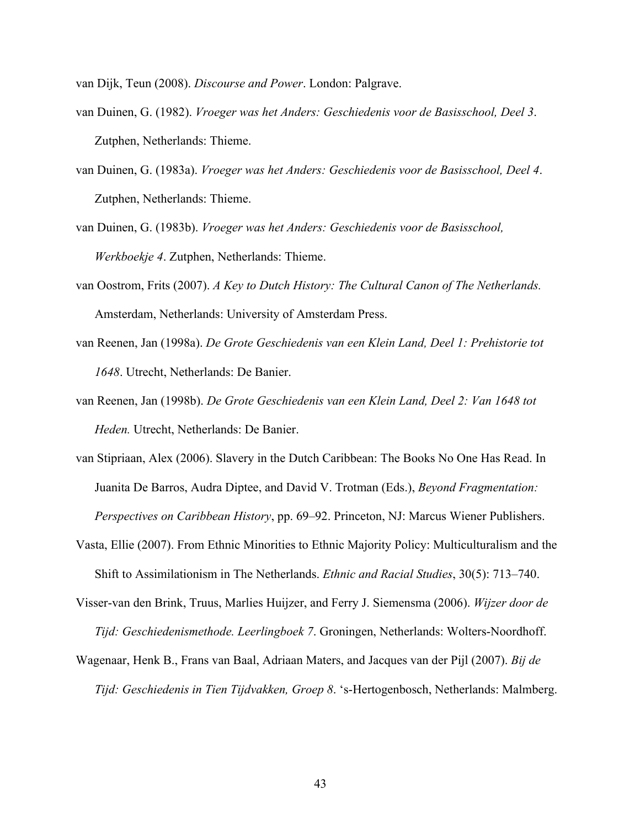van Dijk, Teun (2008). *Discourse and Power*. London: Palgrave.

- van Duinen, G. (1982). *Vroeger was het Anders: Geschiedenis voor de Basisschool, Deel 3*. Zutphen, Netherlands: Thieme.
- van Duinen, G. (1983a). *Vroeger was het Anders: Geschiedenis voor de Basisschool, Deel 4*. Zutphen, Netherlands: Thieme.
- van Duinen, G. (1983b). *Vroeger was het Anders: Geschiedenis voor de Basisschool, Werkboekje 4*. Zutphen, Netherlands: Thieme.
- van Oostrom, Frits (2007). *A Key to Dutch History: The Cultural Canon of The Netherlands.* Amsterdam, Netherlands: University of Amsterdam Press.
- van Reenen, Jan (1998a). *De Grote Geschiedenis van een Klein Land, Deel 1: Prehistorie tot 1648*. Utrecht, Netherlands: De Banier.
- van Reenen, Jan (1998b). *De Grote Geschiedenis van een Klein Land, Deel 2: Van 1648 tot Heden.* Utrecht, Netherlands: De Banier.
- van Stipriaan, Alex (2006). Slavery in the Dutch Caribbean: The Books No One Has Read. In Juanita De Barros, Audra Diptee, and David V. Trotman (Eds.), *Beyond Fragmentation: Perspectives on Caribbean History*, pp. 69–92. Princeton, NJ: Marcus Wiener Publishers.
- Vasta, Ellie (2007). From Ethnic Minorities to Ethnic Majority Policy: Multiculturalism and the Shift to Assimilationism in The Netherlands. *Ethnic and Racial Studies*, 30(5): 713–740.
- Visser-van den Brink, Truus, Marlies Huijzer, and Ferry J. Siemensma (2006). *Wijzer door de Tijd: Geschiedenismethode. Leerlingboek 7*. Groningen, Netherlands: Wolters-Noordhoff.
- Wagenaar, Henk B., Frans van Baal, Adriaan Maters, and Jacques van der Pijl (2007). *Bij de Tijd: Geschiedenis in Tien Tijdvakken, Groep 8*. 's-Hertogenbosch, Netherlands: Malmberg.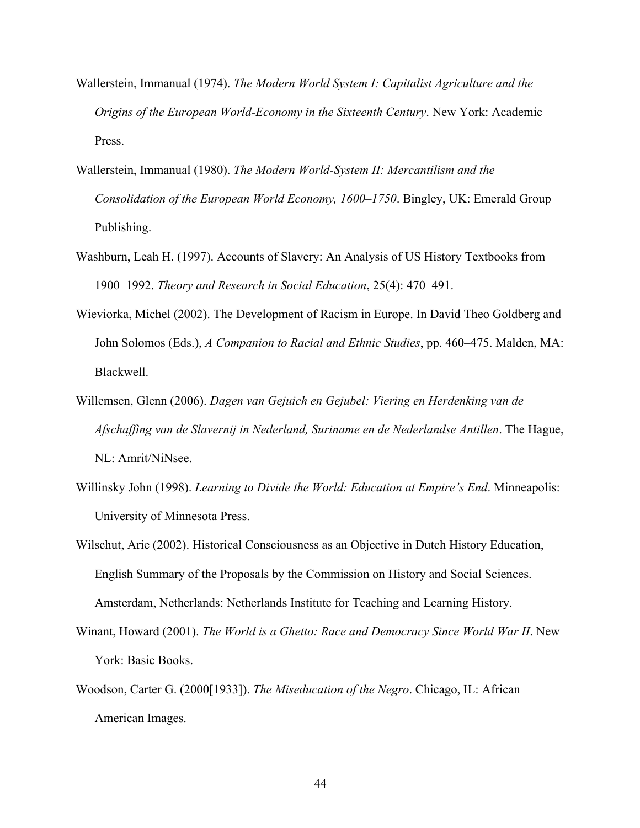- Wallerstein, Immanual (1974). *The Modern World System I: Capitalist Agriculture and the Origins of the European World-Economy in the Sixteenth Century*. New York: Academic Press.
- Wallerstein, Immanual (1980). *The Modern World-System II: Mercantilism and the Consolidation of the European World Economy, 1600–1750*. Bingley, UK: Emerald Group Publishing.
- Washburn, Leah H. (1997). Accounts of Slavery: An Analysis of US History Textbooks from 1900–1992. *Theory and Research in Social Education*, 25(4): 470–491.
- Wieviorka, Michel (2002). The Development of Racism in Europe. In David Theo Goldberg and John Solomos (Eds.), *A Companion to Racial and Ethnic Studies*, pp. 460–475. Malden, MA: Blackwell.
- Willemsen, Glenn (2006). *Dagen van Gejuich en Gejubel: Viering en Herdenking van de Afschaffing van de Slavernij in Nederland, Suriname en de Nederlandse Antillen*. The Hague, NL: Amrit/NiNsee.
- Willinsky John (1998). *Learning to Divide the World: Education at Empire's End*. Minneapolis: University of Minnesota Press.
- Wilschut, Arie (2002). Historical Consciousness as an Objective in Dutch History Education, English Summary of the Proposals by the Commission on History and Social Sciences. Amsterdam, Netherlands: Netherlands Institute for Teaching and Learning History.
- Winant, Howard (2001). *The World is a Ghetto: Race and Democracy Since World War II*. New York: Basic Books.
- Woodson, Carter G. (2000[1933]). *The Miseducation of the Negro*. Chicago, IL: African American Images.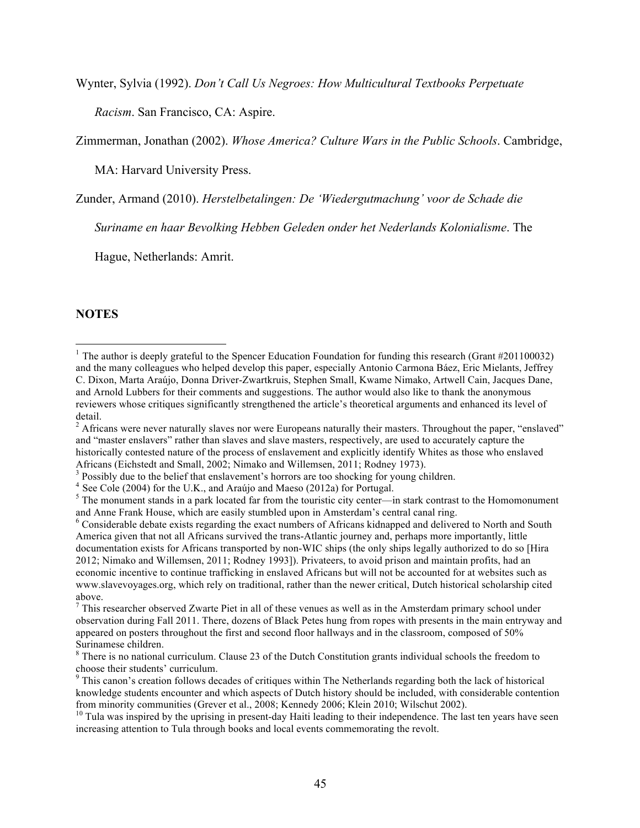Wynter, Sylvia (1992). *Don't Call Us Negroes: How Multicultural Textbooks Perpetuate* 

*Racism*. San Francisco, CA: Aspire.

Zimmerman, Jonathan (2002). *Whose America? Culture Wars in the Public Schools*. Cambridge,

MA: Harvard University Press.

Zunder, Armand (2010). *Herstelbetalingen: De 'Wiedergutmachung' voor de Schade die* 

*Suriname en haar Bevolking Hebben Geleden onder het Nederlands Kolonialisme*. The

Hague, Netherlands: Amrit.

# **NOTES**

<sup>&</sup>lt;sup>1</sup> The author is deeply grateful to the Spencer Education Foundation for funding this research (Grant  $\#201100032$ ) and the many colleagues who helped develop this paper, especially Antonio Carmona Báez, Eric Mielants, Jeffrey C. Dixon, Marta Araújo, Donna Driver-Zwartkruis, Stephen Small, Kwame Nimako, Artwell Cain, Jacques Dane, and Arnold Lubbers for their comments and suggestions. The author would also like to thank the anonymous reviewers whose critiques significantly strengthened the article's theoretical arguments and enhanced its level of detail.

<sup>&</sup>lt;sup>2</sup> Africans were never naturally slaves nor were Europeans naturally their masters. Throughout the paper, "enslaved" and "master enslavers" rather than slaves and slave masters, respectively, are used to accurately capture the historically contested nature of the process of enslavement and explicitly identify Whites as those who enslaved

Africans (Eichstedt and Small, 2002; Nimako and Willemsen, 2011; Rodney 1973).<br><sup>3</sup> Possibly due to the belief that enslavement's horrors are too shocking for young children.<br><sup>4</sup> See Cole (2004) for the U.K., and Araújo and

 $<sup>5</sup>$  The monument stands in a park located far from the touristic city center—in stark contrast to the Homomonument</sup> and Anne Frank House, which are easily stumbled upon in Amsterdam's central canal ring.<br><sup>6</sup> Considerable debate exists regarding the exact numbers of Africans kidnapped and delivered to North and South

America given that not all Africans survived the trans-Atlantic journey and, perhaps more importantly, little documentation exists for Africans transported by non-WIC ships (the only ships legally authorized to do so [Hira 2012; Nimako and Willemsen, 2011; Rodney 1993]). Privateers, to avoid prison and maintain profits, had an economic incentive to continue trafficking in enslaved Africans but will not be accounted for at websites such as www.slavevoyages.org, which rely on traditional, rather than the newer critical, Dutch historical scholarship cited above.

 $<sup>7</sup>$  This researcher observed Zwarte Piet in all of these venues as well as in the Amsterdam primary school under</sup> observation during Fall 2011. There, dozens of Black Petes hung from ropes with presents in the main entryway and appeared on posters throughout the first and second floor hallways and in the classroom, composed of 50% Surinamese children.<br><sup>8</sup> There is no national curriculum. Clause 23 of the Dutch Constitution grants individual schools the freedom to

choose their students' curriculum.

<sup>&</sup>lt;sup>9</sup> This canon's creation follows decades of critiques within The Netherlands regarding both the lack of historical knowledge students encounter and which aspects of Dutch history should be included, with considerable contention from minority communities (Grever et al., 2008; Kennedy 2006; Klein 2010; Wilschut 2002).<br><sup>10</sup> Tula was inspired by the uprising in present-day Haiti leading to their independence. The last ten years have seen

increasing attention to Tula through books and local events commemorating the revolt.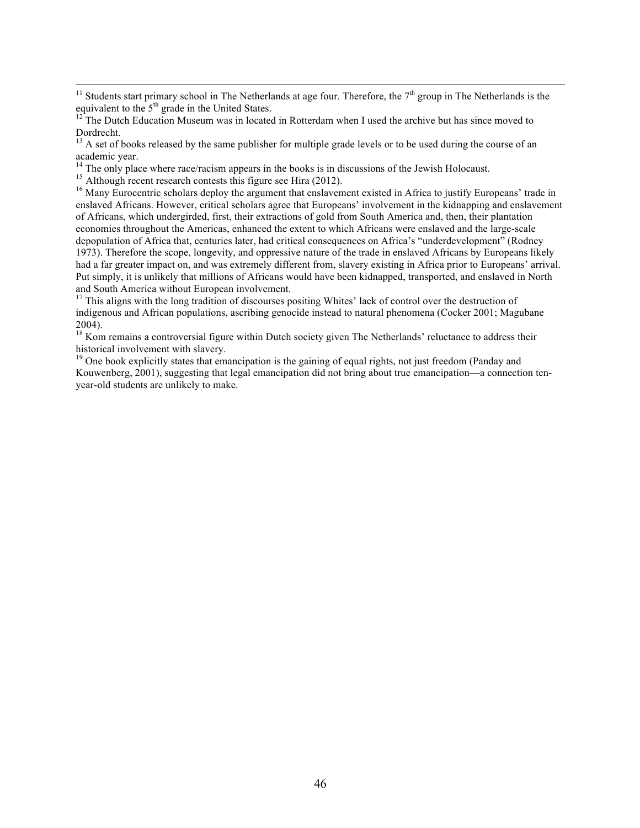<sup>11</sup> Students start primary school in The Netherlands at age four. Therefore, the  $7<sup>th</sup>$  group in The Netherlands is the equivalent to the  $5<sup>th</sup>$  grade in the United States.

<sup>13</sup> A set of books released by the same publisher for multiple grade levels or to be used during the course of an academic year.<br><sup>14</sup> The only place where race/racism appears in the books is in discussions of the Jewish Holocaust.

<sup>15</sup> Although recent research contests this figure see Hira (2012).<br><sup>16</sup> Many Eurocentric scholars deploy the argument that enslavement existed in Africa to justify Europeans' trade in enslaved Africans. However, critical scholars agree that Europeans' involvement in the kidnapping and enslavement of Africans, which undergirded, first, their extractions of gold from South America and, then, their plantation economies throughout the Americas, enhanced the extent to which Africans were enslaved and the large-scale depopulation of Africa that, centuries later, had critical consequences on Africa's "underdevelopment" (Rodney 1973). Therefore the scope, longevity, and oppressive nature of the trade in enslaved Africans by Europeans likely had a far greater impact on, and was extremely different from, slavery existing in Africa prior to Europeans' arrival. Put simply, it is unlikely that millions of Africans would have been kidnapped, transported, and enslaved in North and South America without European involvement.

 $17$  This aligns with the long tradition of discourses positing Whites' lack of control over the destruction of indigenous and African populations, ascribing genocide instead to natural phenomena (Cocker 2001; Magubane 2004).

<sup>18</sup> Kom remains a controversial figure within Dutch society given The Netherlands' reluctance to address their historical involvement with slavery.

<sup>19</sup> One book explicitly states that emancipation is the gaining of equal rights, not just freedom (Panday and Kouwenberg, 2001), suggesting that legal emancipation did not bring about true emancipation—a connection tenyear-old students are unlikely to make.

 $12$ <sup>12</sup> The Dutch Education Museum was in located in Rotterdam when I used the archive but has since moved to Dordrecht.